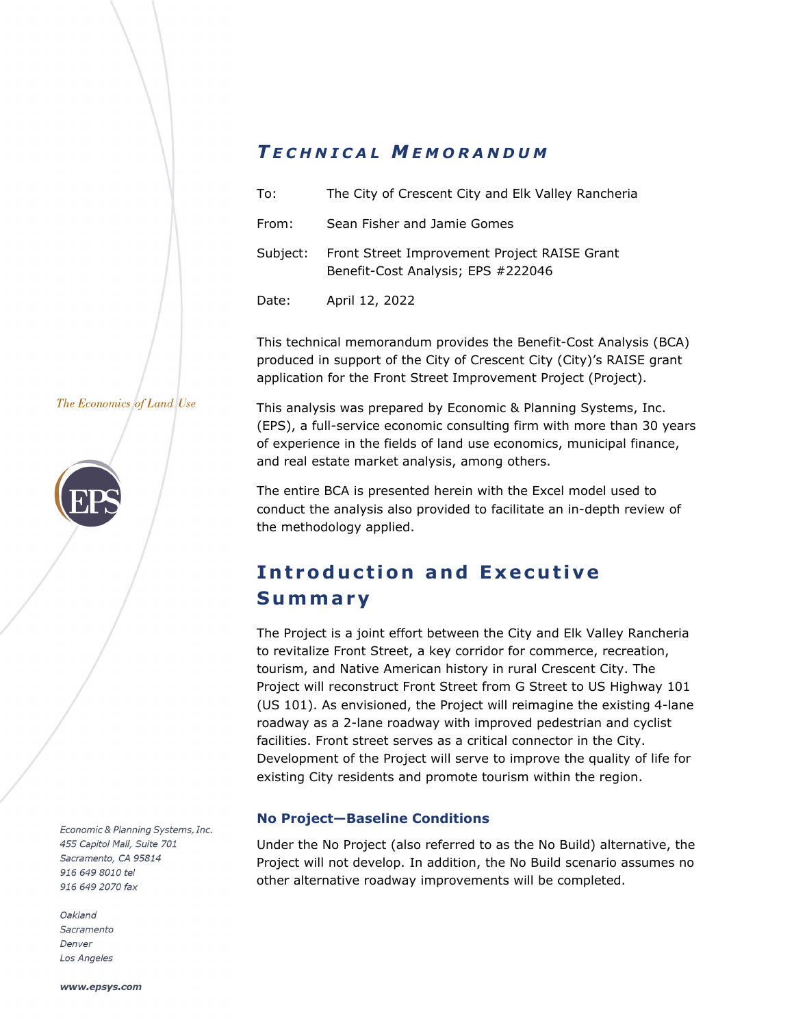# *T ECHNICAL M EMORANDUM*

| To:      | The City of Crescent City and Elk Valley Rancheria                                 |
|----------|------------------------------------------------------------------------------------|
| From:    | Sean Fisher and Jamie Gomes                                                        |
| Subject: | Front Street Improvement Project RAISE Grant<br>Benefit-Cost Analysis; EPS #222046 |
| Date:    | April 12, 2022                                                                     |

This technical memorandum provides the Benefit-Cost Analysis (BCA) produced in support of the City of Crescent City (City)'s RAISE grant application for the Front Street Improvement Project (Project).

This analysis was prepared by Economic & Planning Systems, Inc. (EPS), a full-service economic consulting firm with more than 30 years of experience in the fields of land use economics, municipal finance,

The entire BCA is presented herein with the Excel model used to conduct the analysis also provided to facilitate an in-depth review of

### The Economics of Land Use



Economic & Planning Systems, Inc. 455 Capitol Mall, Suite 701 Sacramento, CA 95814 916 649 8010 tel 916 649 2070 fax

Oakland Sacramento Denver Los Angeles

**Introduction and Executive Summary** 

and real estate market analysis, among others.

the methodology applied.

The Project is a joint effort between the City and Elk Valley Rancheria to revitalize Front Street, a key corridor for commerce, recreation, tourism, and Native American history in rural Crescent City. The Project will reconstruct Front Street from G Street to US Highway 101 (US 101). As envisioned, the Project will reimagine the existing 4-lane roadway as a 2-lane roadway with improved pedestrian and cyclist facilities. Front street serves as a critical connector in the City. Development of the Project will serve to improve the quality of life for existing City residents and promote tourism within the region.

# **No Project—Baseline Conditions**

Under the No Project (also referred to as the No Build) alternative, the Project will not develop. In addition, the No Build scenario assumes no other alternative roadway improvements will be completed.

www.epsys.com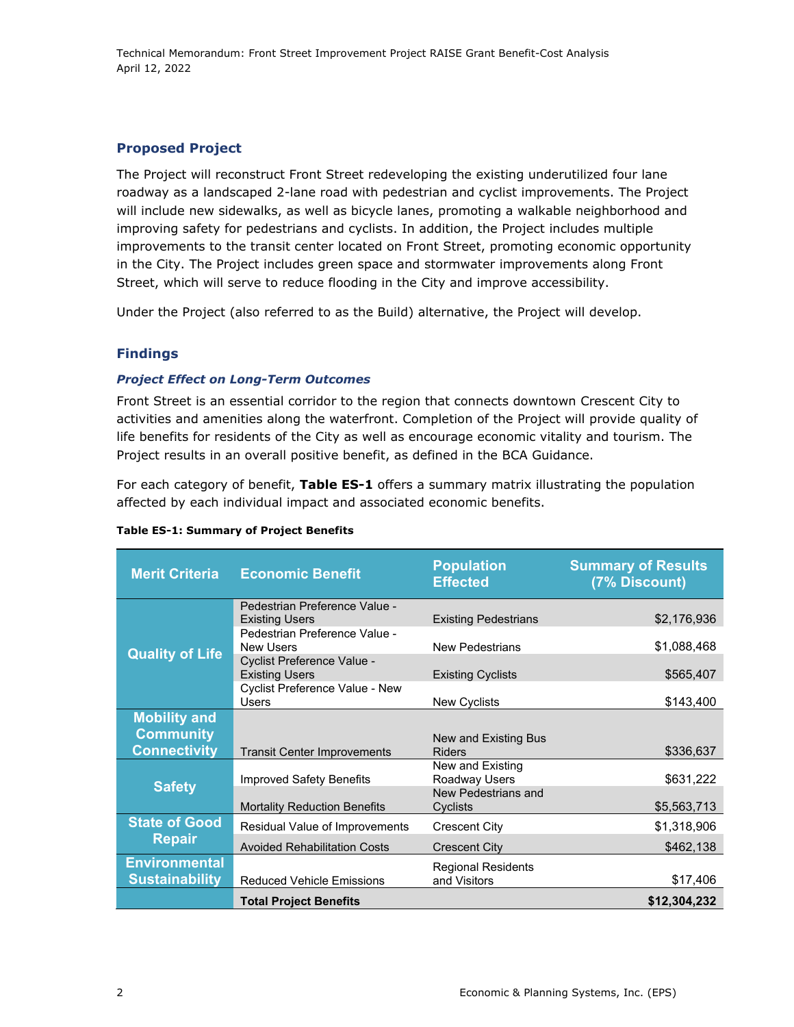# **Proposed Project**

The Project will reconstruct Front Street redeveloping the existing underutilized four lane roadway as a landscaped 2-lane road with pedestrian and cyclist improvements. The Project will include new sidewalks, as well as bicycle lanes, promoting a walkable neighborhood and improving safety for pedestrians and cyclists. In addition, the Project includes multiple improvements to the transit center located on Front Street, promoting economic opportunity in the City. The Project includes green space and stormwater improvements along Front Street, which will serve to reduce flooding in the City and improve accessibility.

Under the Project (also referred to as the Build) alternative, the Project will develop.

# **Findings**

# *Project Effect on Long-Term Outcomes*

Front Street is an essential corridor to the region that connects downtown Crescent City to activities and amenities along the waterfront. Completion of the Project will provide quality of life benefits for residents of the City as well as encourage economic vitality and tourism. The Project results in an overall positive benefit, as defined in the BCA Guidance.

For each category of benefit, **Table ES-1** offers a summary matrix illustrating the population affected by each individual impact and associated economic benefits.

| <b>Merit Criteria</b>                         | <b>Economic Benefit</b>                                | <b>Population</b><br><b>Effected</b>      | <b>Summary of Results</b><br>(7% Discount) |
|-----------------------------------------------|--------------------------------------------------------|-------------------------------------------|--------------------------------------------|
|                                               | Pedestrian Preference Value -<br><b>Existing Users</b> | <b>Existing Pedestrians</b>               | \$2,176,936                                |
|                                               | Pedestrian Preference Value -<br><b>New Users</b>      | <b>New Pedestrians</b>                    | \$1,088,468                                |
| <b>Quality of Life</b>                        | Cyclist Preference Value -<br><b>Existing Users</b>    | <b>Existing Cyclists</b>                  | \$565,407                                  |
|                                               | Cyclist Preference Value - New<br><b>Users</b>         | New Cyclists                              | \$143,400                                  |
| <b>Mobility and</b>                           |                                                        |                                           |                                            |
| <b>Community</b>                              |                                                        | New and Existing Bus                      |                                            |
| <b>Connectivity</b>                           | <b>Transit Center Improvements</b>                     | <b>Riders</b>                             | \$336,637                                  |
| <b>Safety</b>                                 | <b>Improved Safety Benefits</b>                        | New and Existing<br>Roadway Users         | \$631,222                                  |
|                                               | <b>Mortality Reduction Benefits</b>                    | New Pedestrians and<br>Cyclists           | \$5,563,713                                |
| <b>State of Good</b>                          | Residual Value of Improvements                         | <b>Crescent City</b>                      | \$1,318,906                                |
| <b>Repair</b>                                 | <b>Avoided Rehabilitation Costs</b>                    | Crescent City                             | \$462,138                                  |
| <b>Environmental</b><br><b>Sustainability</b> | <b>Reduced Vehicle Emissions</b>                       | <b>Regional Residents</b><br>and Visitors | \$17,406                                   |
|                                               | <b>Total Project Benefits</b>                          |                                           | \$12,304,232                               |

### **Table ES-1: Summary of Project Benefits**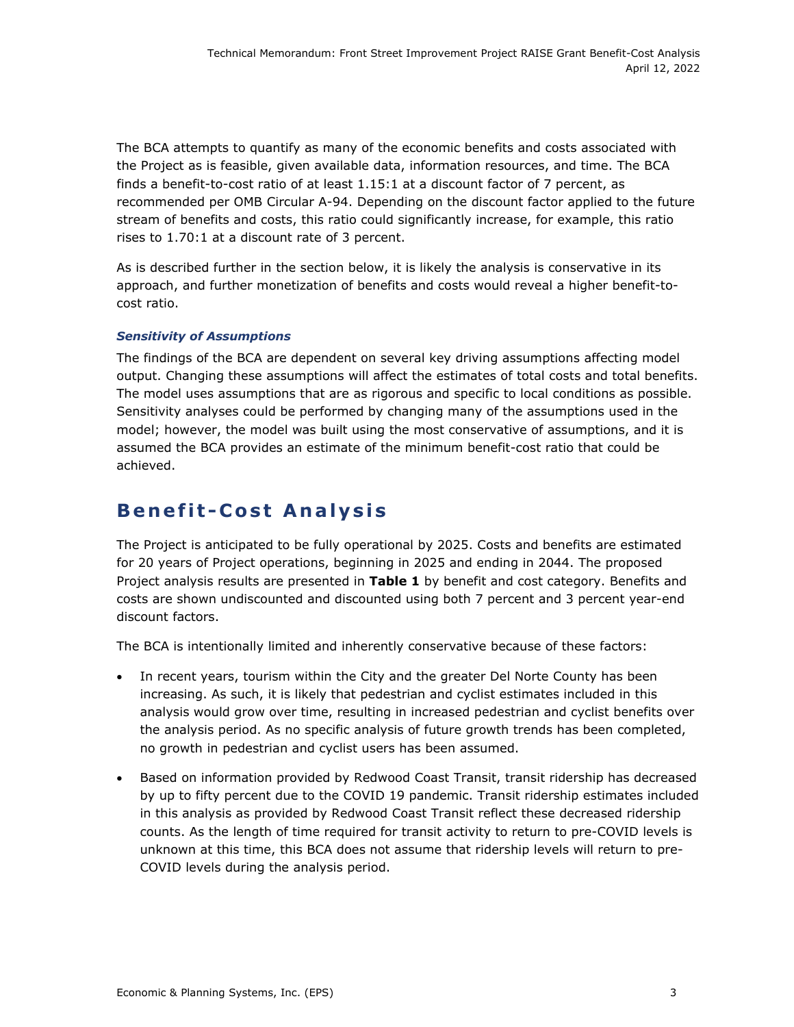The BCA attempts to quantify as many of the economic benefits and costs associated with the Project as is feasible, given available data, information resources, and time. The BCA finds a benefit-to-cost ratio of at least 1.15:1 at a discount factor of 7 percent, as recommended per OMB Circular A-94. Depending on the discount factor applied to the future stream of benefits and costs, this ratio could significantly increase, for example, this ratio rises to 1.70:1 at a discount rate of 3 percent.

As is described further in the section below, it is likely the analysis is conservative in its approach, and further monetization of benefits and costs would reveal a higher benefit-tocost ratio.

# *Sensitivity of Assumptions*

The findings of the BCA are dependent on several key driving assumptions affecting model output. Changing these assumptions will affect the estimates of total costs and total benefits. The model uses assumptions that are as rigorous and specific to local conditions as possible. Sensitivity analyses could be performed by changing many of the assumptions used in the model; however, the model was built using the most conservative of assumptions, and it is assumed the BCA provides an estimate of the minimum benefit-cost ratio that could be achieved.

# **Benefit-Cost Analysis**

The Project is anticipated to be fully operational by 2025. Costs and benefits are estimated for 20 years of Project operations, beginning in 2025 and ending in 2044. The proposed Project analysis results are presented in **Table 1** by benefit and cost category. Benefits and costs are shown undiscounted and discounted using both 7 percent and 3 percent year-end discount factors.

The BCA is intentionally limited and inherently conservative because of these factors:

- In recent years, tourism within the City and the greater Del Norte County has been increasing. As such, it is likely that pedestrian and cyclist estimates included in this analysis would grow over time, resulting in increased pedestrian and cyclist benefits over the analysis period. As no specific analysis of future growth trends has been completed, no growth in pedestrian and cyclist users has been assumed.
- Based on information provided by Redwood Coast Transit, transit ridership has decreased by up to fifty percent due to the COVID 19 pandemic. Transit ridership estimates included in this analysis as provided by Redwood Coast Transit reflect these decreased ridership counts. As the length of time required for transit activity to return to pre-COVID levels is unknown at this time, this BCA does not assume that ridership levels will return to pre-COVID levels during the analysis period.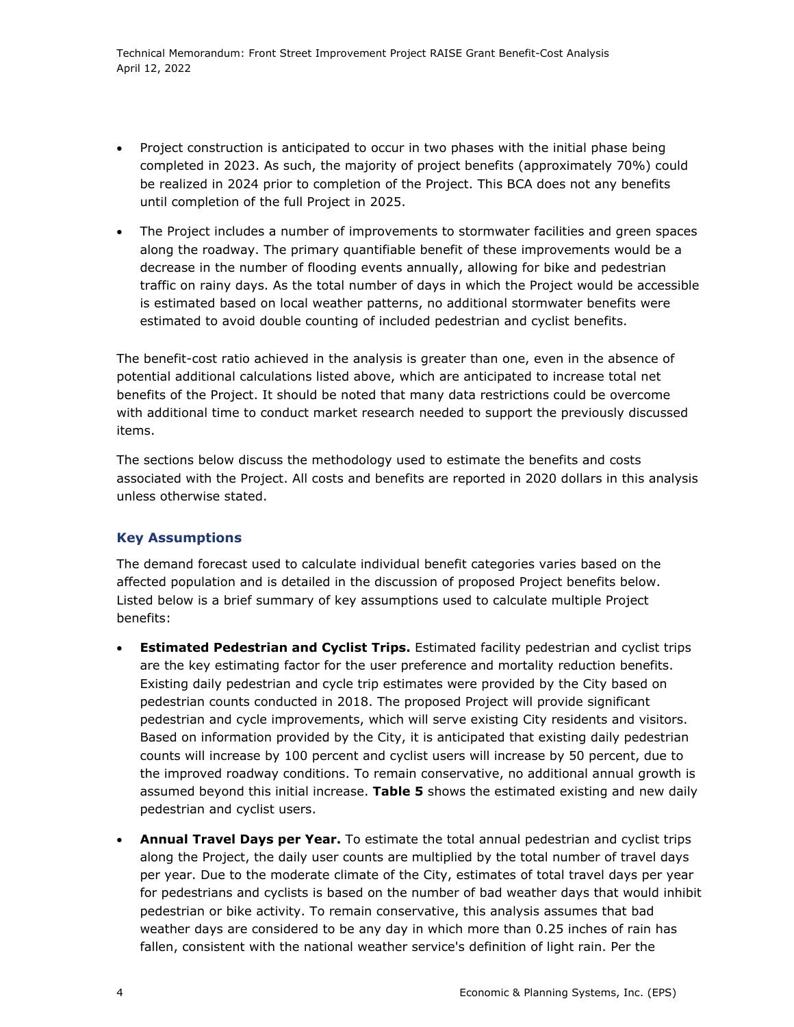Technical Memorandum: Front Street Improvement Project RAISE Grant Benefit-Cost Analysis April 12, 2022

- Project construction is anticipated to occur in two phases with the initial phase being completed in 2023. As such, the majority of project benefits (approximately 70%) could be realized in 2024 prior to completion of the Project. This BCA does not any benefits until completion of the full Project in 2025.
- The Project includes a number of improvements to stormwater facilities and green spaces along the roadway. The primary quantifiable benefit of these improvements would be a decrease in the number of flooding events annually, allowing for bike and pedestrian traffic on rainy days. As the total number of days in which the Project would be accessible is estimated based on local weather patterns, no additional stormwater benefits were estimated to avoid double counting of included pedestrian and cyclist benefits.

The benefit-cost ratio achieved in the analysis is greater than one, even in the absence of potential additional calculations listed above, which are anticipated to increase total net benefits of the Project. It should be noted that many data restrictions could be overcome with additional time to conduct market research needed to support the previously discussed items.

The sections below discuss the methodology used to estimate the benefits and costs associated with the Project. All costs and benefits are reported in 2020 dollars in this analysis unless otherwise stated.

# **Key Assumptions**

The demand forecast used to calculate individual benefit categories varies based on the affected population and is detailed in the discussion of proposed Project benefits below. Listed below is a brief summary of key assumptions used to calculate multiple Project benefits:

- **Estimated Pedestrian and Cyclist Trips.** Estimated facility pedestrian and cyclist trips are the key estimating factor for the user preference and mortality reduction benefits. Existing daily pedestrian and cycle trip estimates were provided by the City based on pedestrian counts conducted in 2018. The proposed Project will provide significant pedestrian and cycle improvements, which will serve existing City residents and visitors. Based on information provided by the City, it is anticipated that existing daily pedestrian counts will increase by 100 percent and cyclist users will increase by 50 percent, due to the improved roadway conditions. To remain conservative, no additional annual growth is assumed beyond this initial increase. **Table 5** shows the estimated existing and new daily pedestrian and cyclist users.
- **Annual Travel Days per Year.** To estimate the total annual pedestrian and cyclist trips along the Project, the daily user counts are multiplied by the total number of travel days per year. Due to the moderate climate of the City, estimates of total travel days per year for pedestrians and cyclists is based on the number of bad weather days that would inhibit pedestrian or bike activity. To remain conservative, this analysis assumes that bad weather days are considered to be any day in which more than 0.25 inches of rain has fallen, consistent with the national weather service's definition of light rain. Per the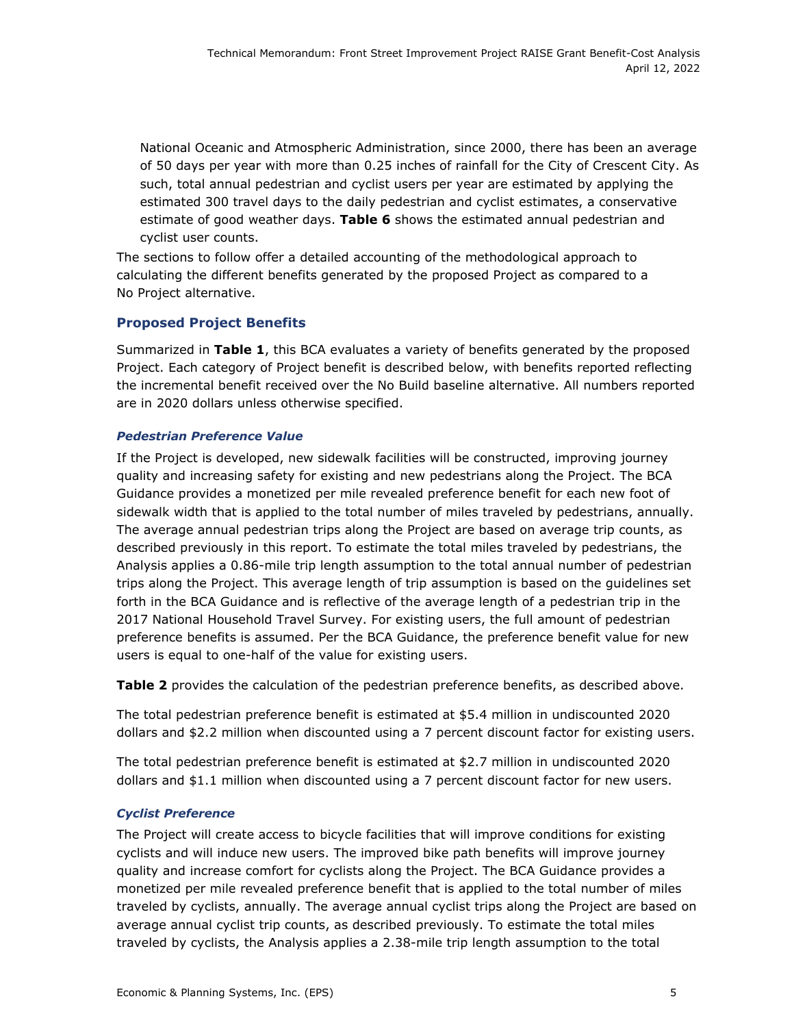National Oceanic and Atmospheric Administration, since 2000, there has been an average of 50 days per year with more than 0.25 inches of rainfall for the City of Crescent City. As such, total annual pedestrian and cyclist users per year are estimated by applying the estimated 300 travel days to the daily pedestrian and cyclist estimates, a conservative estimate of good weather days. **Table 6** shows the estimated annual pedestrian and cyclist user counts.

The sections to follow offer a detailed accounting of the methodological approach to calculating the different benefits generated by the proposed Project as compared to a No Project alternative.

# **Proposed Project Benefits**

Summarized in **Table 1**, this BCA evaluates a variety of benefits generated by the proposed Project. Each category of Project benefit is described below, with benefits reported reflecting the incremental benefit received over the No Build baseline alternative. All numbers reported are in 2020 dollars unless otherwise specified.

# *Pedestrian Preference Value*

If the Project is developed, new sidewalk facilities will be constructed, improving journey quality and increasing safety for existing and new pedestrians along the Project. The BCA Guidance provides a monetized per mile revealed preference benefit for each new foot of sidewalk width that is applied to the total number of miles traveled by pedestrians, annually. The average annual pedestrian trips along the Project are based on average trip counts, as described previously in this report. To estimate the total miles traveled by pedestrians, the Analysis applies a 0.86-mile trip length assumption to the total annual number of pedestrian trips along the Project. This average length of trip assumption is based on the guidelines set forth in the BCA Guidance and is reflective of the average length of a pedestrian trip in the 2017 National Household Travel Survey. For existing users, the full amount of pedestrian preference benefits is assumed. Per the BCA Guidance, the preference benefit value for new users is equal to one-half of the value for existing users.

**Table 2** provides the calculation of the pedestrian preference benefits, as described above.

The total pedestrian preference benefit is estimated at \$5.4 million in undiscounted 2020 dollars and \$2.2 million when discounted using a 7 percent discount factor for existing users.

The total pedestrian preference benefit is estimated at \$2.7 million in undiscounted 2020 dollars and \$1.1 million when discounted using a 7 percent discount factor for new users.

# *Cyclist Preference*

The Project will create access to bicycle facilities that will improve conditions for existing cyclists and will induce new users. The improved bike path benefits will improve journey quality and increase comfort for cyclists along the Project. The BCA Guidance provides a monetized per mile revealed preference benefit that is applied to the total number of miles traveled by cyclists, annually. The average annual cyclist trips along the Project are based on average annual cyclist trip counts, as described previously. To estimate the total miles traveled by cyclists, the Analysis applies a 2.38-mile trip length assumption to the total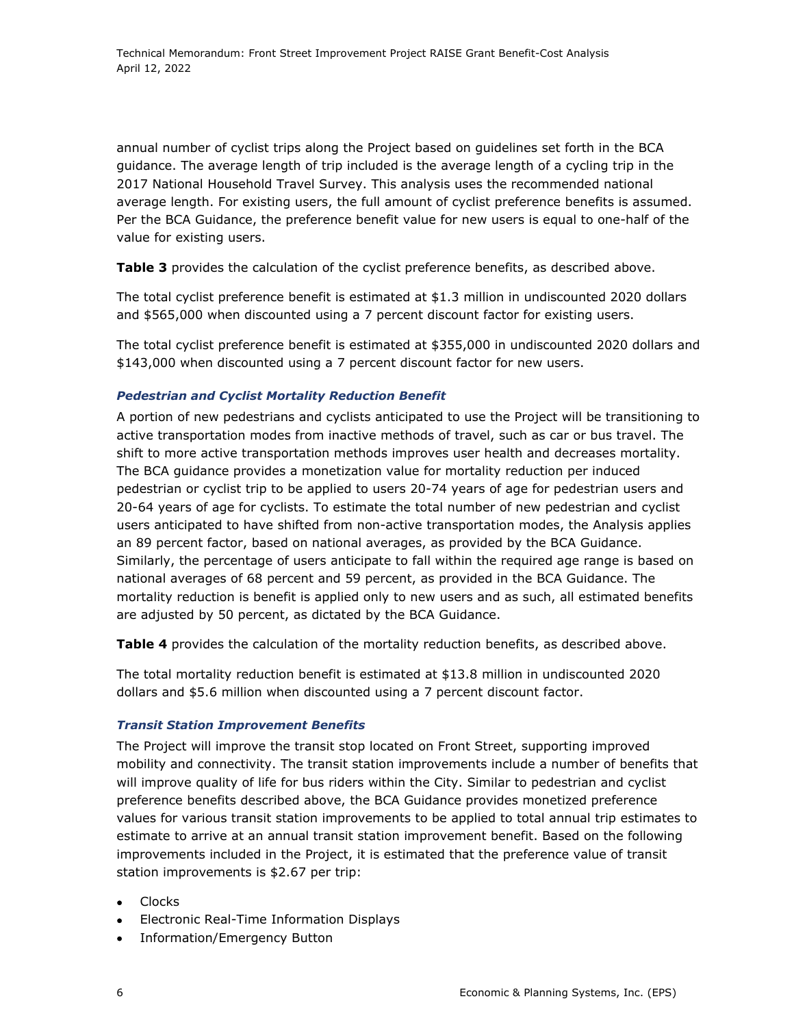annual number of cyclist trips along the Project based on guidelines set forth in the BCA guidance. The average length of trip included is the average length of a cycling trip in the 2017 National Household Travel Survey. This analysis uses the recommended national average length. For existing users, the full amount of cyclist preference benefits is assumed. Per the BCA Guidance, the preference benefit value for new users is equal to one-half of the value for existing users.

**Table 3** provides the calculation of the cyclist preference benefits, as described above.

The total cyclist preference benefit is estimated at \$1.3 million in undiscounted 2020 dollars and \$565,000 when discounted using a 7 percent discount factor for existing users.

The total cyclist preference benefit is estimated at \$355,000 in undiscounted 2020 dollars and \$143,000 when discounted using a 7 percent discount factor for new users.

# *Pedestrian and Cyclist Mortality Reduction Benefit*

A portion of new pedestrians and cyclists anticipated to use the Project will be transitioning to active transportation modes from inactive methods of travel, such as car or bus travel. The shift to more active transportation methods improves user health and decreases mortality. The BCA guidance provides a monetization value for mortality reduction per induced pedestrian or cyclist trip to be applied to users 20-74 years of age for pedestrian users and 20-64 years of age for cyclists. To estimate the total number of new pedestrian and cyclist users anticipated to have shifted from non-active transportation modes, the Analysis applies an 89 percent factor, based on national averages, as provided by the BCA Guidance. Similarly, the percentage of users anticipate to fall within the required age range is based on national averages of 68 percent and 59 percent, as provided in the BCA Guidance. The mortality reduction is benefit is applied only to new users and as such, all estimated benefits are adjusted by 50 percent, as dictated by the BCA Guidance.

**Table 4** provides the calculation of the mortality reduction benefits, as described above.

The total mortality reduction benefit is estimated at \$13.8 million in undiscounted 2020 dollars and \$5.6 million when discounted using a 7 percent discount factor.

# *Transit Station Improvement Benefits*

The Project will improve the transit stop located on Front Street, supporting improved mobility and connectivity. The transit station improvements include a number of benefits that will improve quality of life for bus riders within the City. Similar to pedestrian and cyclist preference benefits described above, the BCA Guidance provides monetized preference values for various transit station improvements to be applied to total annual trip estimates to estimate to arrive at an annual transit station improvement benefit. Based on the following improvements included in the Project, it is estimated that the preference value of transit station improvements is \$2.67 per trip:

- Clocks
- Electronic Real-Time Information Displays
- Information/Emergency Button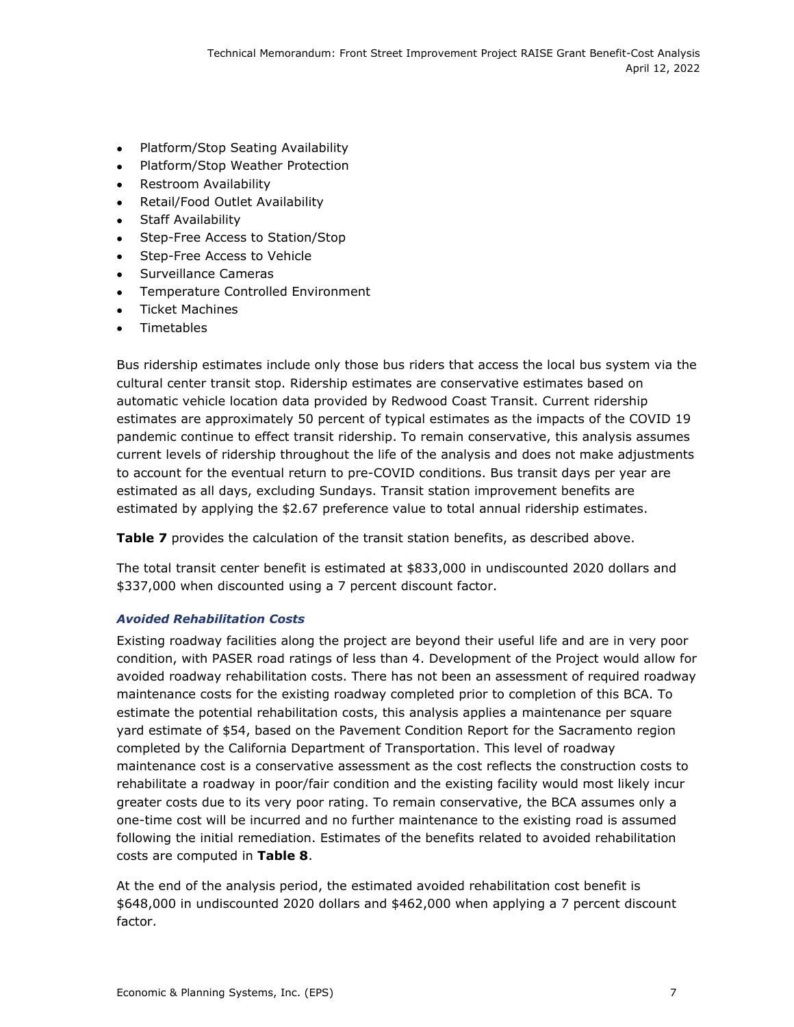- Platform/Stop Seating Availability
- Platform/Stop Weather Protection
- Restroom Availability
- Retail/Food Outlet Availability
- Staff Availability
- Step-Free Access to Station/Stop
- Step-Free Access to Vehicle
- Surveillance Cameras
- Temperature Controlled Environment
- **•** Ticket Machines
- Timetables

Bus ridership estimates include only those bus riders that access the local bus system via the cultural center transit stop. Ridership estimates are conservative estimates based on automatic vehicle location data provided by Redwood Coast Transit. Current ridership estimates are approximately 50 percent of typical estimates as the impacts of the COVID 19 pandemic continue to effect transit ridership. To remain conservative, this analysis assumes current levels of ridership throughout the life of the analysis and does not make adjustments to account for the eventual return to pre-COVID conditions. Bus transit days per year are estimated as all days, excluding Sundays. Transit station improvement benefits are estimated by applying the \$2.67 preference value to total annual ridership estimates.

Table 7 provides the calculation of the transit station benefits, as described above.

The total transit center benefit is estimated at \$833,000 in undiscounted 2020 dollars and \$337,000 when discounted using a 7 percent discount factor.

# *Avoided Rehabilitation Costs*

Existing roadway facilities along the project are beyond their useful life and are in very poor condition, with PASER road ratings of less than 4. Development of the Project would allow for avoided roadway rehabilitation costs. There has not been an assessment of required roadway maintenance costs for the existing roadway completed prior to completion of this BCA. To estimate the potential rehabilitation costs, this analysis applies a maintenance per square yard estimate of \$54, based on the Pavement Condition Report for the Sacramento region completed by the California Department of Transportation. This level of roadway maintenance cost is a conservative assessment as the cost reflects the construction costs to rehabilitate a roadway in poor/fair condition and the existing facility would most likely incur greater costs due to its very poor rating. To remain conservative, the BCA assumes only a one-time cost will be incurred and no further maintenance to the existing road is assumed following the initial remediation. Estimates of the benefits related to avoided rehabilitation costs are computed in **Table 8**.

At the end of the analysis period, the estimated avoided rehabilitation cost benefit is \$648,000 in undiscounted 2020 dollars and \$462,000 when applying a 7 percent discount factor.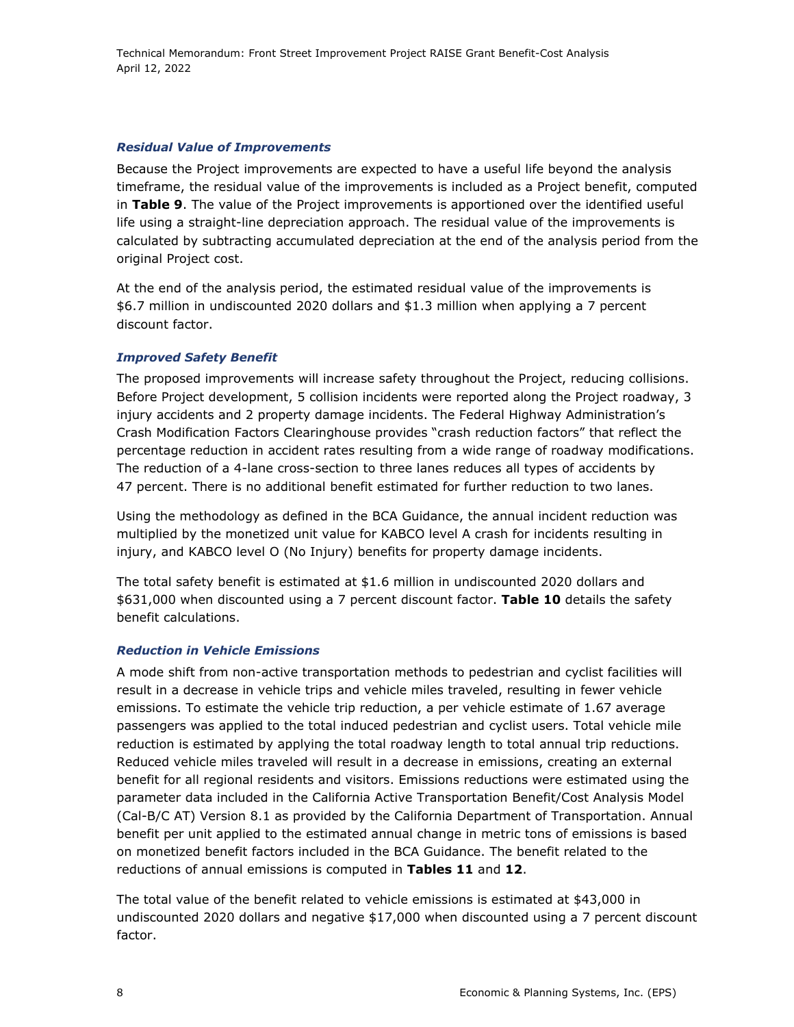# *Residual Value of Improvements*

Because the Project improvements are expected to have a useful life beyond the analysis timeframe, the residual value of the improvements is included as a Project benefit, computed in **Table 9**. The value of the Project improvements is apportioned over the identified useful life using a straight-line depreciation approach. The residual value of the improvements is calculated by subtracting accumulated depreciation at the end of the analysis period from the original Project cost.

At the end of the analysis period, the estimated residual value of the improvements is \$6.7 million in undiscounted 2020 dollars and \$1.3 million when applying a 7 percent discount factor.

# *Improved Safety Benefit*

The proposed improvements will increase safety throughout the Project, reducing collisions. Before Project development, 5 collision incidents were reported along the Project roadway, 3 injury accidents and 2 property damage incidents. The Federal Highway Administration's Crash Modification Factors Clearinghouse provides "crash reduction factors" that reflect the percentage reduction in accident rates resulting from a wide range of roadway modifications. The reduction of a 4-lane cross-section to three lanes reduces all types of accidents by 47 percent. There is no additional benefit estimated for further reduction to two lanes.

Using the methodology as defined in the BCA Guidance, the annual incident reduction was multiplied by the monetized unit value for KABCO level A crash for incidents resulting in injury, and KABCO level O (No Injury) benefits for property damage incidents.

The total safety benefit is estimated at \$1.6 million in undiscounted 2020 dollars and \$631,000 when discounted using a 7 percent discount factor. **Table 10** details the safety benefit calculations.

# *Reduction in Vehicle Emissions*

A mode shift from non-active transportation methods to pedestrian and cyclist facilities will result in a decrease in vehicle trips and vehicle miles traveled, resulting in fewer vehicle emissions. To estimate the vehicle trip reduction, a per vehicle estimate of 1.67 average passengers was applied to the total induced pedestrian and cyclist users. Total vehicle mile reduction is estimated by applying the total roadway length to total annual trip reductions. Reduced vehicle miles traveled will result in a decrease in emissions, creating an external benefit for all regional residents and visitors. Emissions reductions were estimated using the parameter data included in the California Active Transportation Benefit/Cost Analysis Model (Cal-B/C AT) Version 8.1 as provided by the California Department of Transportation. Annual benefit per unit applied to the estimated annual change in metric tons of emissions is based on monetized benefit factors included in the BCA Guidance. The benefit related to the reductions of annual emissions is computed in **Tables 11** and **12**.

The total value of the benefit related to vehicle emissions is estimated at \$43,000 in undiscounted 2020 dollars and negative \$17,000 when discounted using a 7 percent discount factor.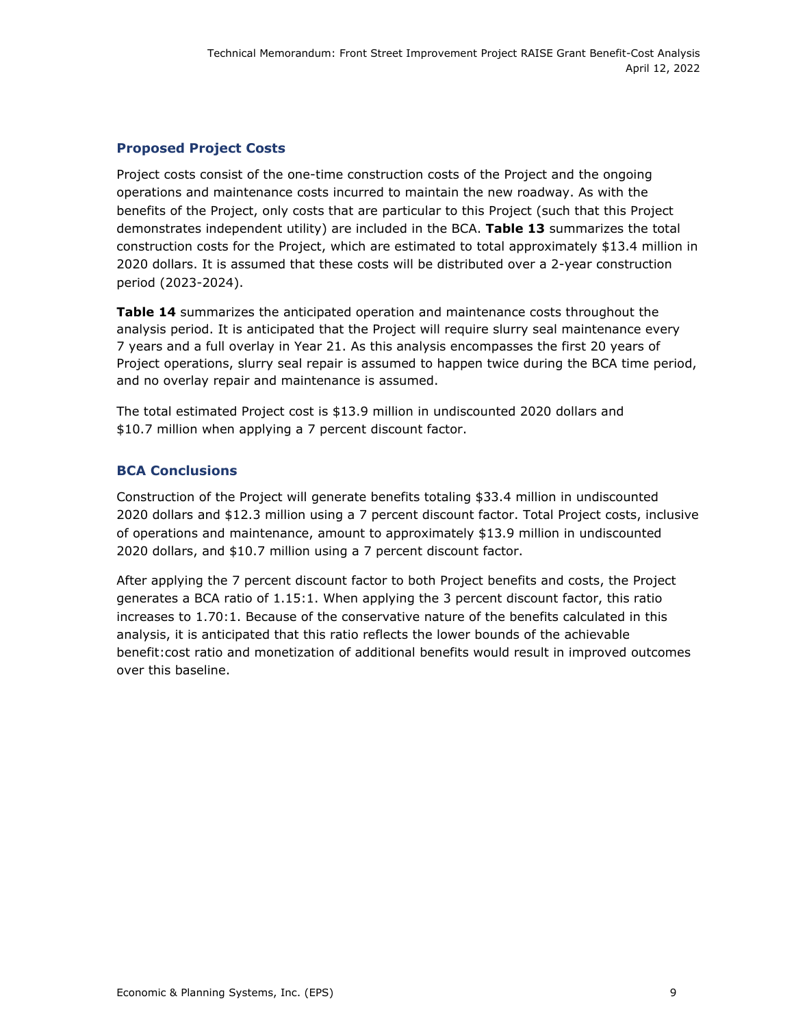# **Proposed Project Costs**

Project costs consist of the one-time construction costs of the Project and the ongoing operations and maintenance costs incurred to maintain the new roadway. As with the benefits of the Project, only costs that are particular to this Project (such that this Project demonstrates independent utility) are included in the BCA. **Table 13** summarizes the total construction costs for the Project, which are estimated to total approximately \$13.4 million in 2020 dollars. It is assumed that these costs will be distributed over a 2-year construction period (2023-2024).

**Table 14** summarizes the anticipated operation and maintenance costs throughout the analysis period. It is anticipated that the Project will require slurry seal maintenance every 7 years and a full overlay in Year 21. As this analysis encompasses the first 20 years of Project operations, slurry seal repair is assumed to happen twice during the BCA time period, and no overlay repair and maintenance is assumed.

The total estimated Project cost is \$13.9 million in undiscounted 2020 dollars and \$10.7 million when applying a 7 percent discount factor.

# **BCA Conclusions**

Construction of the Project will generate benefits totaling \$33.4 million in undiscounted 2020 dollars and \$12.3 million using a 7 percent discount factor. Total Project costs, inclusive of operations and maintenance, amount to approximately \$13.9 million in undiscounted 2020 dollars, and \$10.7 million using a 7 percent discount factor.

After applying the 7 percent discount factor to both Project benefits and costs, the Project generates a BCA ratio of 1.15:1. When applying the 3 percent discount factor, this ratio increases to 1.70:1. Because of the conservative nature of the benefits calculated in this analysis, it is anticipated that this ratio reflects the lower bounds of the achievable benefit:cost ratio and monetization of additional benefits would result in improved outcomes over this baseline.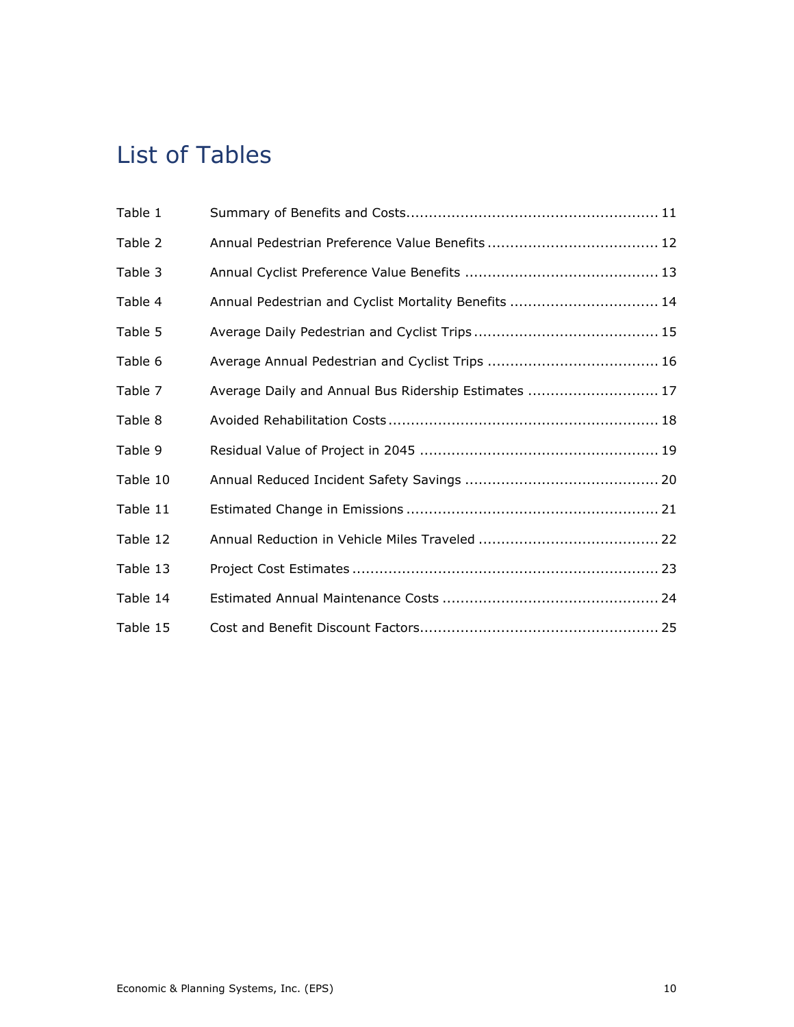# List of Tables

| Table 1  |                                                      |
|----------|------------------------------------------------------|
| Table 2  |                                                      |
| Table 3  |                                                      |
| Table 4  | Annual Pedestrian and Cyclist Mortality Benefits  14 |
| Table 5  |                                                      |
| Table 6  |                                                      |
| Table 7  | Average Daily and Annual Bus Ridership Estimates  17 |
| Table 8  |                                                      |
| Table 9  |                                                      |
| Table 10 |                                                      |
| Table 11 |                                                      |
| Table 12 |                                                      |
| Table 13 |                                                      |
| Table 14 |                                                      |
| Table 15 |                                                      |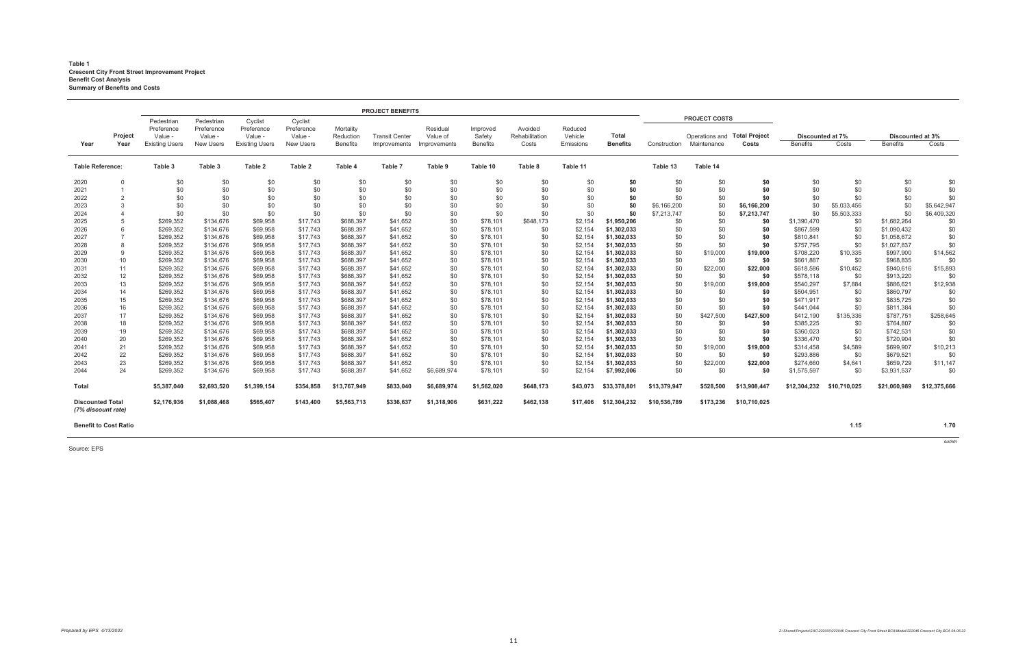### **Table 1 Crescent City Front Street Improvement Project Benefit Cost Analysis Summary of Benefits and Costs**

*summ*

Source: EPS

|                                               |                        |                                                              |                                                         |                                                           |                                                      |                                           | <b>PROJECT BENEFITS</b>               |                                      |                                       |                                    |                                 |                          |              |                                                                     |              |                                     |              |                                     |              |
|-----------------------------------------------|------------------------|--------------------------------------------------------------|---------------------------------------------------------|-----------------------------------------------------------|------------------------------------------------------|-------------------------------------------|---------------------------------------|--------------------------------------|---------------------------------------|------------------------------------|---------------------------------|--------------------------|--------------|---------------------------------------------------------------------|--------------|-------------------------------------|--------------|-------------------------------------|--------------|
| Year                                          | <b>Project</b><br>Year | Pedestrian<br>Preference<br>Value -<br><b>Existing Users</b> | Pedestrian<br>Preference<br>Value -<br><b>New Users</b> | Cyclist<br>Preference<br>Value -<br><b>Existing Users</b> | Cyclist<br>Preference<br>Value -<br><b>New Users</b> | Mortality<br>Reduction<br><b>Benefits</b> | <b>Transit Center</b><br>Improvements | Residual<br>Value of<br>Improvements | Improved<br>Safety<br><b>Benefits</b> | Avoided<br>Rehabilitation<br>Costs | Reduced<br>Vehicle<br>Emissions | Total<br><b>Benefits</b> | Construction | <b>PROJECT COSTS</b><br>Operations and Total Project<br>Maintenance | Costs        | Discounted at 7%<br><b>Benefits</b> | Costs        | Discounted at 3%<br><b>Benefits</b> | Costs        |
|                                               |                        |                                                              |                                                         |                                                           |                                                      |                                           |                                       |                                      |                                       |                                    |                                 |                          |              |                                                                     |              |                                     |              |                                     |              |
| <b>Table Reference:</b>                       |                        | Table 3                                                      | Table 3                                                 | Table 2                                                   | Table 2                                              | Table 4                                   | Table 7                               | Table 9                              | Table 10                              | Table 8                            | Table 11                        |                          | Table 13     | Table 14                                                            |              |                                     |              |                                     |              |
| 2020                                          | $\mathbf 0$            | \$0                                                          | \$0                                                     | \$0                                                       | \$0                                                  | \$0                                       | \$0                                   | \$0                                  | \$0                                   | \$0                                | \$0                             | \$0                      | \$0          | \$0                                                                 | \$0          | \$0                                 | \$0          | \$0                                 | \$0          |
| 2021                                          |                        | \$0                                                          | \$0                                                     | \$0                                                       | \$0                                                  | \$0                                       | \$0                                   | \$0                                  | \$0                                   | \$0                                | \$0                             | \$0                      | \$0          | \$0                                                                 | \$0          | \$0                                 | \$0          | \$0                                 | \$0          |
| 2022                                          | 2                      | \$0                                                          | \$0                                                     | \$0                                                       | \$0                                                  | \$0                                       | \$0                                   | \$0                                  | \$0                                   | \$0                                | \$0                             | \$0                      | \$0          | \$0                                                                 | \$0          | \$0                                 | \$0          | \$0                                 | \$0          |
| 2023                                          | 3                      | \$0                                                          | \$0                                                     | \$0                                                       | \$0                                                  | \$0                                       | \$0                                   | \$0                                  | \$0                                   | \$0                                | \$0                             | \$0                      | \$6,166,200  | \$0                                                                 | \$6,166,200  | \$0                                 | \$5,033,456  | \$0                                 | \$5,642,947  |
| 2024                                          |                        | \$0                                                          | \$0                                                     | \$0                                                       | \$0                                                  | \$0                                       | \$0                                   | \$0                                  | \$0                                   | \$0                                | \$0                             | \$0                      | \$7,213,747  | \$0                                                                 | \$7,213,747  | \$0                                 | \$5,503,333  | \$0                                 | \$6,409,320  |
| 2025                                          | 5                      | \$269,352                                                    | \$134,676                                               | \$69,958                                                  | \$17,743                                             | \$688,397                                 | \$41,652                              | \$0                                  | \$78,101                              | \$648,173                          | \$2,154                         | \$1,950,206              | \$0          | \$0                                                                 | \$0          | \$1,390,470                         | \$0          | \$1,682,264                         | \$0          |
| 2026                                          | 6                      | \$269,352                                                    | \$134,676                                               | \$69,958                                                  | \$17,743                                             | \$688,397                                 | \$41,652                              | \$0                                  | \$78,101                              | \$0                                | \$2,154                         | \$1,302,033              | \$0          | \$0                                                                 | \$0          | \$867,599                           | \$0          | \$1,090,432                         | \$0          |
| 2027                                          | $\overline{7}$         | \$269,352                                                    | \$134,676                                               | \$69,958                                                  | \$17,743                                             | \$688,397                                 | \$41,652                              | \$0                                  | \$78,101                              | \$0                                | \$2,154                         | \$1,302,033              | \$0          | \$0                                                                 | \$0          | \$810,841                           | \$0          | \$1,058,672                         | \$0          |
| 2028                                          | 8                      | \$269,352                                                    | \$134,676                                               | \$69,958                                                  | \$17,743                                             | \$688,397                                 | \$41,652                              | \$0                                  | \$78,101                              | \$0                                | \$2,154                         | \$1,302,033              | \$0          | \$0                                                                 | \$0          | \$757,795                           | \$0          | \$1,027,837                         | \$0          |
| 2029                                          | 9                      | \$269,352                                                    | \$134,676                                               | \$69,958                                                  | \$17,743                                             | \$688,397                                 | \$41,652                              | \$0                                  | \$78,101                              | \$0                                | \$2,154                         | \$1,302,033              | \$0          | \$19,000                                                            | \$19,000     | \$708,220                           | \$10,335     | \$997,900                           | \$14,562     |
| 2030                                          | 10                     | \$269,352                                                    | \$134,676                                               | \$69,958                                                  | \$17,743                                             | \$688,397                                 | \$41,652                              | \$0                                  | \$78,101                              | \$0                                | \$2,154                         | \$1,302,033              | \$0          | \$0                                                                 | \$0          | \$661,887                           | \$0          | \$968,835                           | \$0          |
| 2031                                          | 11                     | \$269,352                                                    | \$134,676                                               | \$69,958                                                  | \$17,743                                             | \$688,397                                 | \$41,652                              | \$0                                  | \$78,101                              | \$0                                | \$2,154                         | \$1,302,033              | \$0          | \$22,000                                                            | \$22,000     | \$618,586                           | \$10,452     | \$940,616                           | \$15,893     |
| 2032                                          | 12                     | \$269,352                                                    | \$134,676                                               | \$69,958                                                  | \$17,743                                             | \$688,397                                 | \$41,652                              | \$0                                  | \$78,101                              | \$0                                | \$2,154                         | \$1,302,033              | \$0          | \$0                                                                 | \$0          | \$578,118                           | \$0          | \$913,220                           | \$0          |
| 2033                                          | 13                     | \$269,352                                                    | \$134,676                                               | \$69,958                                                  | \$17,743                                             | \$688,397                                 | \$41,652                              | \$0                                  | \$78,101                              | \$0                                | \$2,154                         | \$1,302,033              | \$0          | \$19,000                                                            | \$19,000     | \$540,297                           | \$7,884      | \$886,621                           | \$12,938     |
| 2034                                          | 14                     | \$269,352                                                    | \$134,676                                               | \$69,958                                                  | \$17,743                                             | \$688,397                                 | \$41,652                              | \$0                                  | \$78,101                              | \$0                                | \$2,154                         | \$1,302,033              | \$0          | \$0                                                                 | \$0          | \$504,951                           | \$0          | \$860,797                           | \$0          |
| 2035                                          | 15                     | \$269,352                                                    | \$134,676                                               | \$69,958                                                  | \$17,743                                             | \$688,397                                 | \$41,652                              | \$0                                  | \$78,101                              | \$0                                | \$2,154                         | \$1,302,033              | \$0          | \$0                                                                 | \$0          | \$471,917                           | \$0          | \$835,725                           | \$0          |
| 2036                                          | 16                     | \$269,352                                                    | \$134,676                                               | \$69,958                                                  | \$17,743                                             | \$688,397                                 | \$41,652                              | \$0                                  | \$78,101                              | \$0                                | \$2,154                         | \$1,302,033              | \$0          | \$0                                                                 | \$0          | \$441,044                           | \$0          | \$811,384                           | \$0          |
| 2037                                          | 17                     | \$269,352                                                    | \$134,676                                               | \$69,958                                                  | \$17,743                                             | \$688,397                                 | \$41,652                              | \$0                                  | \$78,101                              | \$0                                | \$2,154                         | \$1,302,033              | \$0          | \$427,500                                                           | \$427,500    | \$412,190                           | \$135,336    | \$787,751                           | \$258,645    |
| 2038                                          | 18                     | \$269,352                                                    | \$134,676                                               | \$69,958                                                  | \$17,743                                             | \$688,397                                 | \$41,652                              | \$0                                  | \$78,101                              | \$0                                | \$2,154                         | \$1,302,033              | \$0          | \$0                                                                 | \$0          | \$385,225                           | \$0          | \$764,807                           | \$0          |
| 2039                                          | 19                     | \$269,352                                                    | \$134,676                                               | \$69,958                                                  | \$17,743                                             | \$688,397                                 | \$41,652                              | \$0                                  | \$78,101                              | \$0                                | \$2,154                         | \$1,302,033              | \$0          | \$0                                                                 | \$0          | \$360,023                           | \$0          | \$742,531                           | \$0          |
| 2040                                          | 20                     | \$269,352                                                    | \$134,676                                               | \$69,958                                                  | \$17,743                                             | \$688,397                                 | \$41,652                              | \$0                                  | \$78,101                              | \$0                                | \$2,154                         | \$1,302,033              | \$0          | \$0                                                                 | \$0          | \$336,470                           | \$0          | \$720,904                           | \$0          |
| 2041                                          | 21                     | \$269,352                                                    | \$134,676                                               | \$69,958                                                  | \$17,743                                             | \$688,397                                 | \$41,652                              | \$0                                  | \$78,101                              | \$0                                | \$2,154                         | \$1,302,033              | \$0          | \$19,000                                                            | \$19,000     | \$314,458                           | \$4,589      | \$699,907                           | \$10,213     |
| 2042                                          | 22                     | \$269,352                                                    | \$134,676                                               | \$69,958                                                  | \$17,743                                             | \$688,397                                 | \$41,652                              | \$0                                  | \$78,101                              | \$0                                | \$2,154                         | \$1,302,033              | \$0          | \$0                                                                 | \$0          | \$293,886                           | \$0          | \$679,521                           | \$0          |
| 2043                                          | 23                     | \$269,352                                                    | \$134,676                                               | \$69,958                                                  | \$17,743                                             | \$688,397                                 | \$41,652                              | \$0                                  | \$78,101                              | \$0                                | \$2,154                         | \$1,302,033              | \$0          | \$22,000                                                            | \$22,000     | \$274,660                           | \$4,641      | \$659,729                           | \$11,147     |
| 2044                                          | 24                     | \$269,352                                                    | \$134,676                                               | \$69,958                                                  | \$17,743                                             | \$688,397                                 | \$41,652                              | \$6,689,974                          | \$78,101                              | \$0                                | \$2,154                         | \$7,992,006              | \$0          | \$0                                                                 | \$0          | \$1,575,597                         | \$0          | \$3,931,537                         | \$0          |
| <b>Total</b>                                  |                        | \$5,387,040                                                  | \$2,693,520                                             | \$1,399,154                                               | \$354,858                                            | \$13,767,949                              | \$833,040                             | \$6,689,974                          | \$1,562,020                           | \$648,173                          | \$43,073                        | \$33,378,801             | \$13,379,947 | \$528,500                                                           | \$13,908,447 | \$12,304,232                        | \$10,710,025 | \$21,060,989                        | \$12,375,666 |
| <b>Discounted Total</b><br>(7% discount rate) |                        | \$2,176,936                                                  | \$1,088,468                                             | \$565,407                                                 | \$143,400                                            | \$5,563,713                               | \$336,637                             | \$1,318,906                          | \$631,222                             | \$462,138                          | \$17.406                        | \$12,304,232             | \$10,536,789 | \$173,236                                                           | \$10,710,025 |                                     |              |                                     |              |
| <b>Benefit to Cost Ratio</b>                  |                        |                                                              |                                                         |                                                           |                                                      |                                           |                                       |                                      |                                       |                                    |                                 |                          |              |                                                                     |              |                                     | 1.15         |                                     | 1.70         |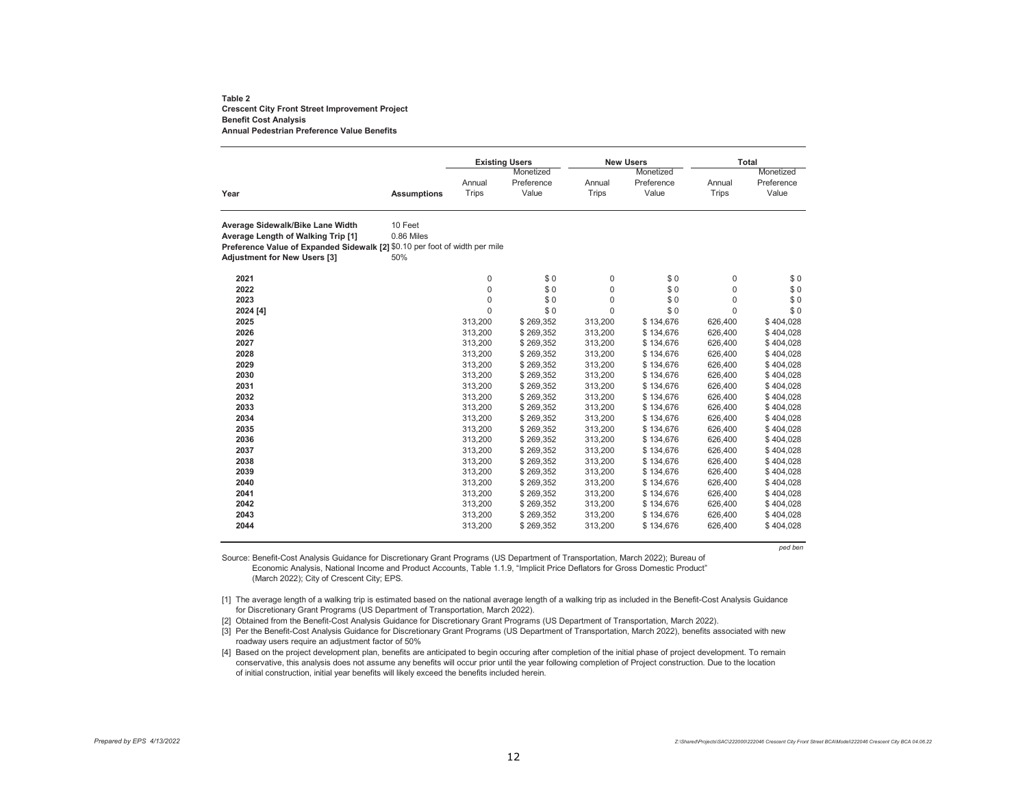#### **Table 2 Crescent City Front Street Improvement Project Benefit Cost Analysis Annual Pedestrian Preference Value Benefits**

|                                                                             |                    |              | <b>Existing Users</b> |              | <b>New Users</b> | <b>Total</b> |            |
|-----------------------------------------------------------------------------|--------------------|--------------|-----------------------|--------------|------------------|--------------|------------|
|                                                                             |                    |              | Monetized             |              | Monetized        |              | Monetized  |
|                                                                             |                    | Annual       | Preference            | Annual       | Preference       | Annual       | Preference |
| Year                                                                        | <b>Assumptions</b> | <b>Trips</b> | Value                 | <b>Trips</b> | Value            | <b>Trips</b> | Value      |
| Average Sidewalk/Bike Lane Width                                            | 10 Feet            |              |                       |              |                  |              |            |
| Average Length of Walking Trip [1]                                          | 0.86 Miles         |              |                       |              |                  |              |            |
| Preference Value of Expanded Sidewalk [2] \$0.10 per foot of width per mile |                    |              |                       |              |                  |              |            |
| <b>Adjustment for New Users [3]</b>                                         | 50%                |              |                       |              |                  |              |            |
| 2021                                                                        |                    | $\mathbf 0$  | \$0                   | $\mathbf 0$  | \$0              | $\pmb{0}$    | \$0        |
| 2022                                                                        |                    | $\mathbf 0$  | \$0                   | $\mathbf 0$  | \$0              | $\mathbf 0$  | \$0        |
| 2023                                                                        |                    | $\mathbf 0$  | \$0                   | $\mathbf 0$  | \$0              | $\Omega$     | \$0        |
| 2024 [4]                                                                    |                    | $\Omega$     | \$0                   | $\Omega$     | \$0              | $\Omega$     | \$0        |
| 2025                                                                        |                    | 313,200      | \$269,352             | 313,200      | \$134,676        | 626,400      | \$404,028  |
| 2026                                                                        |                    | 313,200      | \$269,352             | 313,200      | \$134,676        | 626,400      | \$404,028  |
| 2027                                                                        |                    | 313,200      | \$269,352             | 313,200      | \$134,676        | 626,400      | \$404,028  |
| 2028                                                                        |                    | 313,200      | \$269,352             | 313,200      | \$134,676        | 626,400      | \$404,028  |
| 2029                                                                        |                    | 313,200      | \$269,352             | 313,200      | \$134,676        | 626,400      | \$404,028  |
| 2030                                                                        |                    | 313,200      | \$269,352             | 313,200      | \$134,676        | 626,400      | \$404,028  |
| 2031                                                                        |                    | 313,200      | \$269,352             | 313,200      | \$134,676        | 626,400      | \$404,028  |
| 2032                                                                        |                    | 313,200      | \$269,352             | 313,200      | \$134,676        | 626,400      | \$404,028  |
| 2033                                                                        |                    | 313,200      | \$269,352             | 313,200      | \$134,676        | 626,400      | \$404,028  |
| 2034                                                                        |                    | 313,200      | \$269,352             | 313,200      | \$134,676        | 626,400      | \$404,028  |
| 2035                                                                        |                    | 313,200      | \$269,352             | 313,200      | \$134,676        | 626,400      | \$404,028  |
| 2036                                                                        |                    | 313,200      | \$269,352             | 313,200      | \$134,676        | 626,400      | \$404,028  |
| 2037                                                                        |                    | 313,200      | \$269,352             | 313,200      | \$134,676        | 626,400      | \$404,028  |
| 2038                                                                        |                    | 313,200      | \$269,352             | 313,200      | \$134,676        | 626,400      | \$404,028  |
| 2039                                                                        |                    | 313,200      | \$269,352             | 313,200      | \$134,676        | 626,400      | \$404,028  |
| 2040                                                                        |                    | 313,200      | \$269,352             | 313,200      | \$134,676        | 626,400      | \$404,028  |
| 2041                                                                        |                    | 313,200      | \$269,352             | 313,200      | \$134,676        | 626,400      | \$404,028  |
| 2042                                                                        |                    | 313,200      | \$269,352             | 313,200      | \$134,676        | 626,400      | \$404,028  |
| 2043                                                                        |                    | 313,200      | \$269,352             | 313,200      | \$134,676        | 626,400      | \$404,028  |
| 2044                                                                        |                    | 313,200      | \$269,352             | 313,200      | \$134,676        | 626,400      | \$404,028  |

*ped ben*

Source: Benefit-Cost Analysis Guidance for Discretionary Grant Programs (US Department of Transportation, March 2022); Bureau of Economic Analysis, National Income and Product Accounts, Table 1.1.9, "Implicit Price Deflators for Gross Domestic Product" (March 2022); City of Crescent City; EPS.

[1] The average length of a walking trip is estimated based on the national average length of a walking trip as included in the Benefit-Cost Analysis Guidance for Discretionary Grant Programs (US Department of Transportation, March 2022).

[2] Obtained from the Benefit-Cost Analysis Guidance for Discretionary Grant Programs (US Department of Transportation, March 2022).

.<br>[3] Per the Benefit-Cost Analysis Guidance for Discretionary Grant Programs (US Department of Transportation, March 2022), benefits associated with new roadway users require an adjustment factor of 50%

[4] Based on the project development plan, benefits are anticipated to begin occuring after completion of the initial phase of project development. To remain conservative, this analysis does not assume any benefits will occur prior until the year following completion of Project construction. Due to the location of initial construction, initial year benefits will likely exceed the benefits included herein.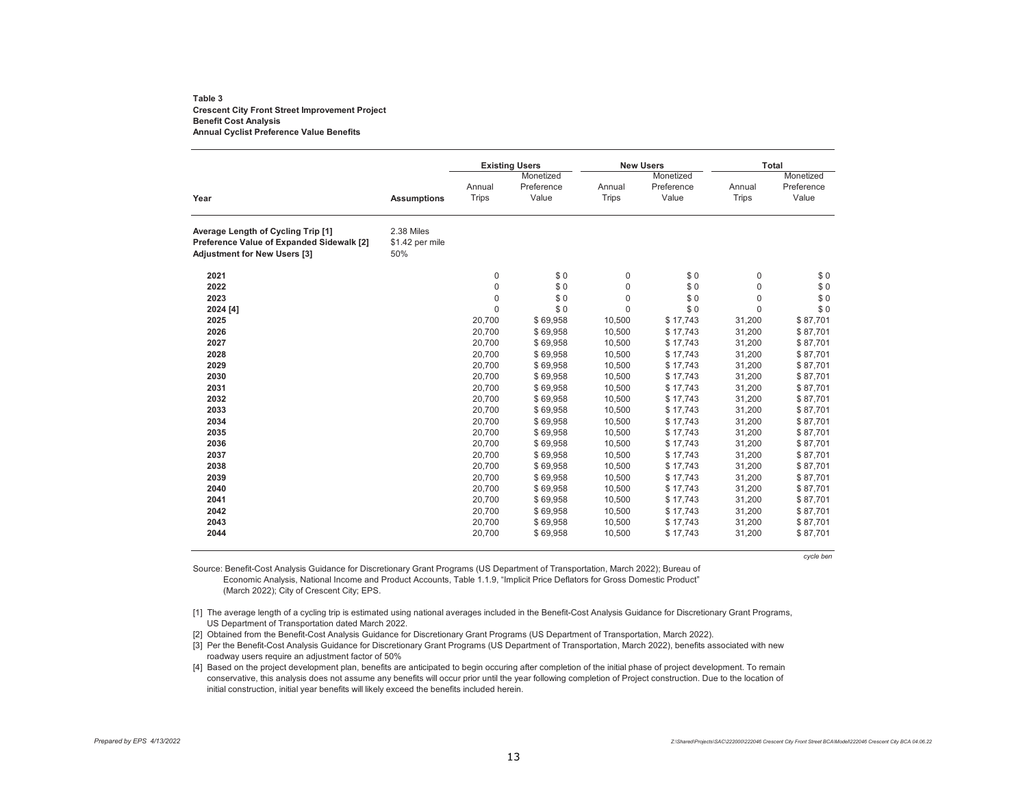#### **Table 3Crescent City Front Street Improvement Project Benefit Cost Analysis Annual Cyclist Preference Value Benefits**

|                                                                                                                        |                                      |              | <b>Existing Users</b> |              | <b>New Users</b> | Total        |            |
|------------------------------------------------------------------------------------------------------------------------|--------------------------------------|--------------|-----------------------|--------------|------------------|--------------|------------|
|                                                                                                                        |                                      |              | Monetized             |              | Monetized        |              | Monetized  |
|                                                                                                                        |                                      | Annual       | Preference            | Annual       | Preference       | Annual       | Preference |
| Year                                                                                                                   | <b>Assumptions</b>                   | <b>Trips</b> | Value                 | <b>Trips</b> | Value            | <b>Trips</b> | Value      |
| Average Length of Cycling Trip [1]<br>Preference Value of Expanded Sidewalk [2]<br><b>Adjustment for New Users [3]</b> | 2.38 Miles<br>\$1.42 per mile<br>50% |              |                       |              |                  |              |            |
| 2021                                                                                                                   |                                      | 0            | \$0                   | $\mathbf 0$  | \$0              | $\mathbf 0$  | \$0        |
| 2022                                                                                                                   |                                      | $\mathbf 0$  | \$0                   | $\mathbf 0$  | \$0              | $\mathbf 0$  | \$0        |
| 2023                                                                                                                   |                                      | 0            | \$0                   | $\mathbf 0$  | \$0              | $\mathbf 0$  | \$0        |
| 2024 [4]                                                                                                               |                                      | $\mathbf 0$  | \$0                   | $\mathbf 0$  | \$0              | $\mathbf 0$  | \$0        |
| 2025                                                                                                                   |                                      | 20,700       | \$69,958              | 10,500       | \$17,743         | 31,200       | \$87,701   |
| 2026                                                                                                                   |                                      | 20,700       | \$69,958              | 10,500       | \$17,743         | 31,200       | \$87,701   |
| 2027                                                                                                                   |                                      | 20,700       | \$69,958              | 10,500       | \$17,743         | 31,200       | \$87,701   |
| 2028                                                                                                                   |                                      | 20,700       | \$69,958              | 10,500       | \$17,743         | 31,200       | \$87,701   |
| 2029                                                                                                                   |                                      | 20,700       | \$69,958              | 10,500       | \$17,743         | 31,200       | \$87,701   |
| 2030                                                                                                                   |                                      | 20.700       | \$69,958              | 10,500       | \$17,743         | 31,200       | \$87,701   |
| 2031                                                                                                                   |                                      | 20,700       | \$69,958              | 10,500       | \$17.743         | 31,200       | \$87,701   |
| 2032                                                                                                                   |                                      | 20,700       | \$69,958              | 10,500       | \$17,743         | 31,200       | \$87,701   |
| 2033                                                                                                                   |                                      | 20,700       | \$69,958              | 10,500       | \$17,743         | 31,200       | \$87,701   |
| 2034                                                                                                                   |                                      | 20,700       | \$69,958              | 10,500       | \$17,743         | 31,200       | \$87,701   |
| 2035                                                                                                                   |                                      | 20,700       | \$69,958              | 10,500       | \$17,743         | 31,200       | \$87,701   |
| 2036                                                                                                                   |                                      | 20,700       | \$69,958              | 10,500       | \$17,743         | 31,200       | \$87,701   |
| 2037                                                                                                                   |                                      | 20,700       | \$69,958              | 10,500       | \$17,743         | 31,200       | \$87,701   |
| 2038                                                                                                                   |                                      | 20,700       | \$69,958              | 10,500       | \$17,743         | 31,200       | \$87,701   |
| 2039                                                                                                                   |                                      | 20,700       | \$69,958              | 10,500       | \$17,743         | 31,200       | \$87,701   |
| 2040                                                                                                                   |                                      | 20,700       | \$69,958              | 10,500       | \$17,743         | 31,200       | \$87,701   |
| 2041                                                                                                                   |                                      | 20,700       | \$69,958              | 10,500       | \$17,743         | 31,200       | \$87,701   |
| 2042                                                                                                                   |                                      | 20,700       | \$69,958              | 10,500       | \$17,743         | 31,200       | \$87,701   |
| 2043                                                                                                                   |                                      | 20,700       | \$69,958              | 10,500       | \$17,743         | 31,200       | \$87,701   |
| 2044                                                                                                                   |                                      | 20,700       | \$69,958              | 10,500       | \$17,743         | 31,200       | \$87,701   |

*cycle ben*

Source: Benefit-Cost Analysis Guidance for Discretionary Grant Programs (US Department of Transportation, March 2022); Bureau of Economic Analysis, National Income and Product Accounts, Table 1.1.9, "Implicit Price Deflators for Gross Domestic Product" (March 2022); City of Crescent City; EPS.

[1] The average length of a cycling trip is estimated using national averages included in the Benefit-Cost Analysis Guidance for Discretionary Grant Programs, US Department of Transportation dated March 2022.

[2] Obtained from the Benefit-Cost Analysis Guidance for Discretionary Grant Programs (US Department of Transportation, March 2022).

[3] Per the Benefit-Cost Analysis Guidance for Discretionary Grant Programs (US Department of Transportation, March 2022), benefits associated with new roadway users require an adjustment factor of 50%

[4] Based on the project development plan, benefits are anticipated to begin occuring after completion of the initial phase of project development. To remain conservative, this analysis does not assume any benefits will occur prior until the year following completion of Project construction. Due to the location of initial construction, initial year benefits will likely exceed the benefits included herein.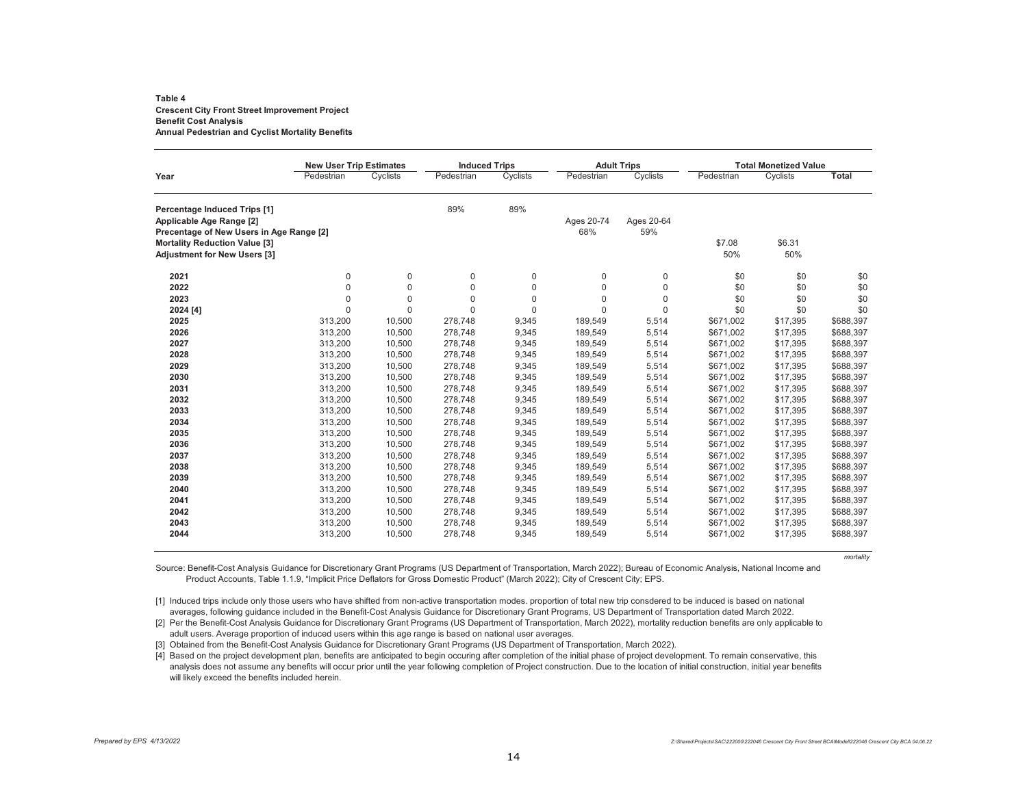#### **Table 4Crescent City Front Street Improvement Project Benefit Cost Analysis Annual Pedestrian and Cyclist Mortality Benefits**

|                                          | <b>New User Trip Estimates</b> |                  | <b>Induced Trips</b> |             |             | <b>Adult Trips</b> |            | <b>Total Monetized Value</b> |              |
|------------------------------------------|--------------------------------|------------------|----------------------|-------------|-------------|--------------------|------------|------------------------------|--------------|
| Year                                     | Pedestrian                     | Cyclists         | Pedestrian           | Cyclists    | Pedestrian  | Cyclists           | Pedestrian | Cyclists                     | <b>Total</b> |
| Percentage Induced Trips [1]             |                                |                  | 89%                  | 89%         |             |                    |            |                              |              |
| Applicable Age Range [2]                 |                                |                  |                      |             | Ages 20-74  | Ages 20-64         |            |                              |              |
| Precentage of New Users in Age Range [2] |                                |                  |                      |             | 68%         | 59%                |            |                              |              |
| <b>Mortality Reduction Value [3]</b>     |                                |                  |                      |             |             |                    | \$7.08     | \$6.31                       |              |
| <b>Adjustment for New Users [3]</b>      |                                |                  |                      |             |             |                    | 50%        | 50%                          |              |
| 2021                                     | 0                              | 0                | 0                    | $\mathbf 0$ | $\mathbf 0$ | 0                  | \$0        | \$0                          | \$0          |
| 2022                                     | $\mathbf 0$                    | $\boldsymbol{0}$ | $\mathbf 0$          | $\mathbf 0$ | $\mathbf 0$ | $\mathbf 0$        | \$0        | \$0                          | \$0          |
| 2023                                     | $\mathbf 0$                    | 0                | 0                    | $\mathbf 0$ | $\pmb{0}$   | 0                  | \$0        | \$0                          | \$0          |
| 2024 [4]                                 | $\mathbf 0$                    | $\mathbf 0$      | $\Omega$             | $\Omega$    | $\Omega$    | $\Omega$           | \$0        | \$0                          | \$0          |
| 2025                                     | 313,200                        | 10,500           | 278,748              | 9,345       | 189,549     | 5,514              | \$671,002  | \$17,395                     | \$688,397    |
| 2026                                     | 313,200                        | 10,500           | 278,748              | 9,345       | 189,549     | 5,514              | \$671,002  | \$17,395                     | \$688,397    |
| 2027                                     | 313,200                        | 10,500           | 278,748              | 9,345       | 189,549     | 5,514              | \$671,002  | \$17,395                     | \$688,397    |
| 2028                                     | 313,200                        | 10,500           | 278,748              | 9,345       | 189,549     | 5,514              | \$671,002  | \$17,395                     | \$688,397    |
| 2029                                     | 313,200                        | 10,500           | 278,748              | 9,345       | 189,549     | 5,514              | \$671,002  | \$17.395                     | \$688,397    |
| 2030                                     | 313,200                        | 10,500           | 278,748              | 9,345       | 189,549     | 5,514              | \$671,002  | \$17,395                     | \$688,397    |
| 2031                                     | 313,200                        | 10,500           | 278,748              | 9,345       | 189,549     | 5,514              | \$671,002  | \$17,395                     | \$688,397    |
| 2032                                     | 313,200                        | 10,500           | 278,748              | 9,345       | 189,549     | 5,514              | \$671,002  | \$17,395                     | \$688,397    |
| 2033                                     | 313,200                        | 10,500           | 278,748              | 9,345       | 189,549     | 5,514              | \$671,002  | \$17,395                     | \$688,397    |
| 2034                                     | 313,200                        | 10,500           | 278,748              | 9,345       | 189,549     | 5,514              | \$671,002  | \$17,395                     | \$688,397    |
| 2035                                     | 313,200                        | 10,500           | 278,748              | 9,345       | 189,549     | 5,514              | \$671,002  | \$17,395                     | \$688,397    |
| 2036                                     | 313,200                        | 10,500           | 278,748              | 9,345       | 189,549     | 5,514              | \$671,002  | \$17,395                     | \$688,397    |
| 2037                                     | 313,200                        | 10,500           | 278,748              | 9,345       | 189,549     | 5,514              | \$671,002  | \$17,395                     | \$688,397    |
| 2038                                     | 313,200                        | 10,500           | 278,748              | 9,345       | 189,549     | 5,514              | \$671,002  | \$17,395                     | \$688,397    |
| 2039                                     | 313,200                        | 10,500           | 278,748              | 9,345       | 189,549     | 5,514              | \$671,002  | \$17,395                     | \$688,397    |
| 2040                                     | 313,200                        | 10,500           | 278,748              | 9,345       | 189,549     | 5,514              | \$671,002  | \$17,395                     | \$688,397    |
| 2041                                     | 313,200                        | 10,500           | 278,748              | 9,345       | 189,549     | 5,514              | \$671,002  | \$17,395                     | \$688,397    |
| 2042                                     | 313,200                        | 10,500           | 278,748              | 9,345       | 189,549     | 5,514              | \$671,002  | \$17,395                     | \$688,397    |
| 2043                                     | 313,200                        | 10,500           | 278,748              | 9,345       | 189,549     | 5,514              | \$671,002  | \$17,395                     | \$688,397    |
| 2044                                     | 313,200                        | 10,500           | 278,748              | 9,345       | 189,549     | 5,514              | \$671,002  | \$17,395                     | \$688,397    |

*mortality*

Source: Benefit-Cost Analysis Guidance for Discretionary Grant Programs (US Department of Transportation, March 2022); Bureau of Economic Analysis, National Income and Product Accounts, Table 1.1.9, "Implicit Price Deflators for Gross Domestic Product" (March 2022); City of Crescent City; EPS.

[1] Induced trips include only those users who have shifted from non-active transportation modes. proportion of total new trip consdered to be induced is based on national averages, following guidance included in the Benefit-Cost Analysis Guidance for Discretionary Grant Programs, US Department of Transportation dated March 2022.

[2] Per the Benefit-Cost Analysis Guidance for Discretionary Grant Programs (US Department of Transportation, March 2022), mortality reduction benefits are only applicable to adult users. Average proportion of induced users within this age range is based on national user averages.

[3] Obtained from the Benefit-Cost Analysis Guidance for Discretionary Grant Programs (US Department of Transportation, March 2022).

[4] Based on the project development plan, benefits are anticipated to begin occuring after completion of the initial phase of project development. To remain conservative, this analysis does not assume any benefits will occur prior until the year following completion of Project construction. Due to the location of initial construction, initial year benefits will likely exceed the benefits included herein.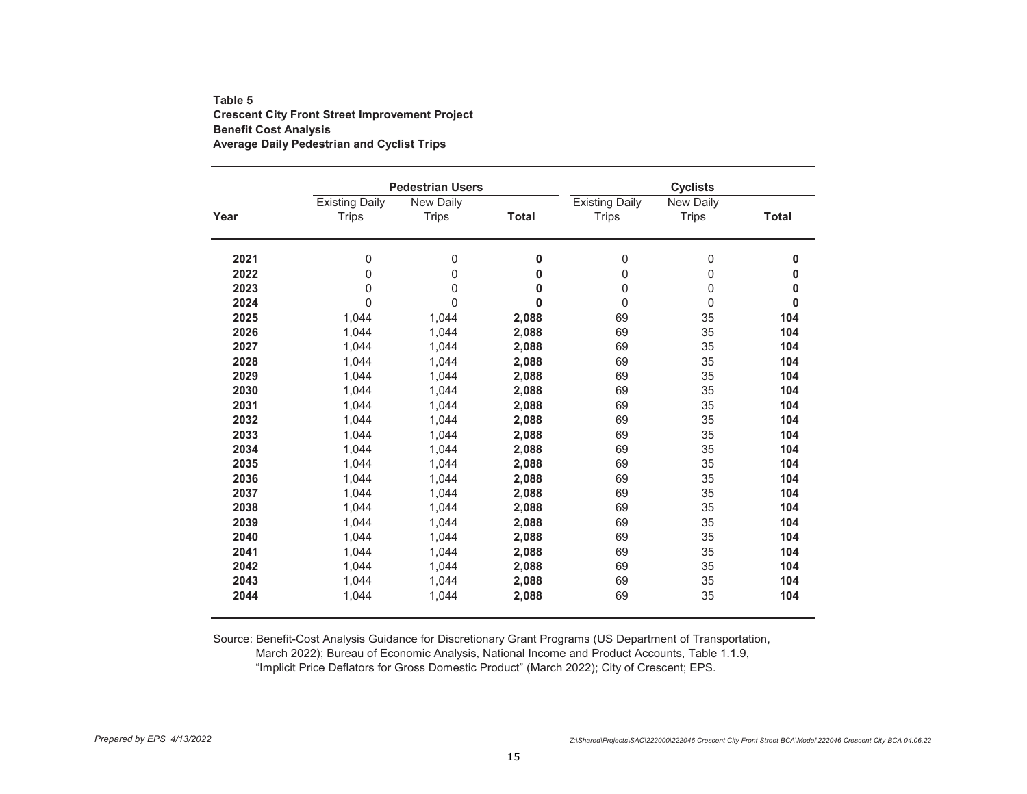### **Table 5Crescent City Front Street Improvement Project Benefit Cost Analysis Average Daily Pedestrian and Cyclist Trips**

|      |                       | <b>Pedestrian Users</b> |              |                       | <b>Cyclists</b>  |              |
|------|-----------------------|-------------------------|--------------|-----------------------|------------------|--------------|
|      | <b>Existing Daily</b> | New Daily               |              | <b>Existing Daily</b> | New Daily        |              |
| Year | <b>Trips</b>          | <b>Trips</b>            | <b>Total</b> | <b>Trips</b>          | <b>Trips</b>     | <b>Total</b> |
| 2021 | 0                     | 0                       | 0            | 0                     | $\pmb{0}$        | 0            |
| 2022 | $\mathbf{0}$          | 0                       | 0            | 0                     | $\pmb{0}$        | 0            |
| 2023 | 0                     | 0                       | 0            | 0                     | $\boldsymbol{0}$ | 0            |
| 2024 | $\mathbf{0}$          | $\mathbf 0$             | $\mathbf{0}$ | 0                     | $\mathbf 0$      | $\bf{0}$     |
| 2025 | 1,044                 | 1,044                   | 2,088        | 69                    | 35               | 104          |
| 2026 | 1,044                 | 1,044                   | 2,088        | 69                    | 35               | 104          |
| 2027 | 1,044                 | 1,044                   | 2,088        | 69                    | 35               | 104          |
| 2028 | 1.044                 | 1,044                   | 2,088        | 69                    | 35               | 104          |
| 2029 | 1.044                 | 1,044                   | 2,088        | 69                    | 35               | 104          |
| 2030 | 1,044                 | 1,044                   | 2,088        | 69                    | 35               | 104          |
| 2031 | 1,044                 | 1,044                   | 2,088        | 69                    | 35               | 104          |
| 2032 | 1,044                 | 1.044                   | 2,088        | 69                    | 35               | 104          |
| 2033 | 1,044                 | 1,044                   | 2,088        | 69                    | 35               | 104          |
| 2034 | 1,044                 | 1,044                   | 2,088        | 69                    | 35               | 104          |
| 2035 | 1,044                 | 1,044                   | 2,088        | 69                    | 35               | 104          |
| 2036 | 1,044                 | 1,044                   | 2,088        | 69                    | 35               | 104          |
| 2037 | 1,044                 | 1,044                   | 2,088        | 69                    | 35               | 104          |
| 2038 | 1,044                 | 1,044                   | 2,088        | 69                    | 35               | 104          |
| 2039 | 1.044                 | 1,044                   | 2,088        | 69                    | 35               | 104          |
| 2040 | 1,044                 | 1,044                   | 2,088        | 69                    | 35               | 104          |
| 2041 | 1,044                 | 1,044                   | 2,088        | 69                    | 35               | 104          |
| 2042 | 1,044                 | 1,044                   | 2,088        | 69                    | 35               | 104          |
| 2043 | 1,044                 | 1,044                   | 2,088        | 69                    | 35               | 104          |
| 2044 | 1,044                 | 1,044                   | 2,088        | 69                    | 35               | 104          |

Source: Benefit-Cost Analysis Guidance for Discretionary Grant Programs (US Department of Transportation, March 2022); Bureau of Economic Analysis, National Income and Product Accounts, Table 1.1.9, "Implicit Price Deflators for Gross Domestic Product" (March 2022); City of Crescent; EPS.

*Prepared by EPS 4/13/2022 Z:\Shared\Projects\SAC\222000\222046 Crescent City Front Street BCA\Model\222046 Crescent City BCA 04.06.22*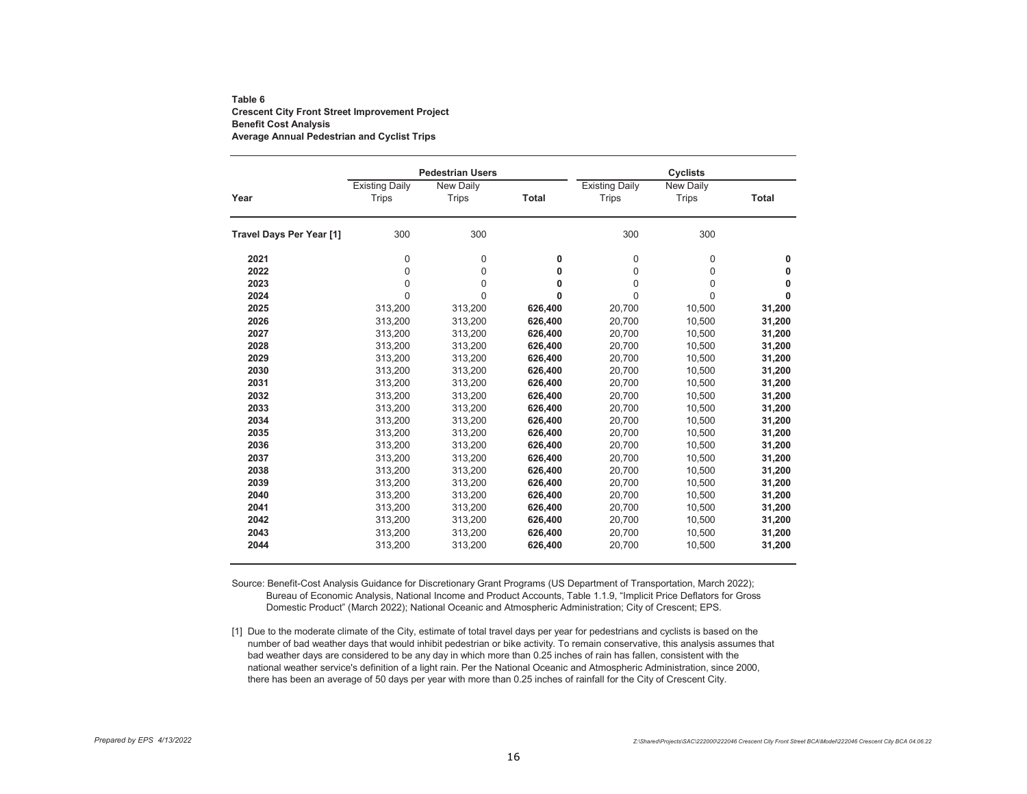### **Table 6Crescent City Front Street Improvement Project Benefit Cost Analysis Average Annual Pedestrian and Cyclist Trips**

|                          |                                       | <b>Pedestrian Users</b>          |              |                                       | <b>Cyclists</b>                  |              |  |  |
|--------------------------|---------------------------------------|----------------------------------|--------------|---------------------------------------|----------------------------------|--------------|--|--|
| Year                     | <b>Existing Daily</b><br><b>Trips</b> | <b>New Daily</b><br><b>Trips</b> | <b>Total</b> | <b>Existing Daily</b><br><b>Trips</b> | <b>New Daily</b><br><b>Trips</b> | <b>Total</b> |  |  |
| Travel Days Per Year [1] | 300                                   | 300                              |              | 300                                   | 300                              |              |  |  |
| 2021                     | $\mathbf{0}$                          | 0                                | 0            | $\mathbf 0$                           | $\mathbf 0$                      | 0            |  |  |
| 2022                     | $\mathbf{0}$                          | 0                                | 0            | $\mathbf 0$                           | $\mathbf 0$                      | 0            |  |  |
| 2023                     | $\mathbf 0$                           | 0                                | 0            | $\mathbf 0$                           | $\mathbf 0$                      | 0            |  |  |
| 2024                     | $\Omega$                              | $\Omega$                         | $\mathbf{0}$ | $\Omega$                              | $\Omega$                         | 0            |  |  |
| 2025                     | 313,200                               | 313,200                          | 626,400      | 20,700                                | 10,500                           | 31,200       |  |  |
| 2026                     | 313,200                               | 313,200                          | 626,400      | 20,700                                | 10,500                           | 31,200       |  |  |
| 2027                     | 313,200                               | 313,200                          | 626,400      | 20,700                                | 10,500                           | 31,200       |  |  |
| 2028                     | 313,200                               | 313,200                          | 626,400      | 20,700                                | 10,500                           | 31,200       |  |  |
| 2029                     | 313,200                               | 313,200                          | 626,400      | 20,700                                | 10,500                           | 31,200       |  |  |
| 2030                     | 313,200                               | 313,200                          | 626,400      | 20,700                                | 10,500                           | 31,200       |  |  |
| 2031                     | 313,200                               | 313,200                          | 626,400      | 20,700                                | 10,500                           | 31,200       |  |  |
| 2032                     | 313,200                               | 313,200                          | 626,400      | 20,700                                | 10,500                           | 31,200       |  |  |
| 2033                     | 313,200                               | 313,200                          | 626,400      | 20,700                                | 10,500                           | 31,200       |  |  |
| 2034                     | 313,200                               | 313,200                          | 626,400      | 20,700                                | 10,500                           | 31,200       |  |  |
| 2035                     | 313,200                               | 313,200                          | 626,400      | 20,700                                | 10,500                           | 31,200       |  |  |
| 2036                     | 313,200                               | 313,200                          | 626,400      | 20,700                                | 10,500                           | 31,200       |  |  |
| 2037                     | 313,200                               | 313,200                          | 626,400      | 20,700                                | 10,500                           | 31,200       |  |  |
| 2038                     | 313,200                               | 313,200                          | 626,400      | 20,700                                | 10,500                           | 31,200       |  |  |
| 2039                     | 313,200                               | 313,200                          | 626,400      | 20,700                                | 10,500                           | 31,200       |  |  |
| 2040                     | 313,200                               | 313,200                          | 626,400      | 20,700                                | 10,500                           | 31,200       |  |  |
| 2041                     | 313,200                               | 313,200                          | 626,400      | 20,700                                | 10,500                           | 31,200       |  |  |
| 2042                     | 313,200                               | 313,200                          | 626,400      | 20,700                                | 10,500                           | 31,200       |  |  |
| 2043                     | 313,200                               | 313,200                          | 626,400      | 20,700                                | 10,500                           | 31,200       |  |  |
| 2044                     | 313,200                               | 313,200                          | 626,400      | 20,700                                | 10,500                           | 31,200       |  |  |

Source: Benefit-Cost Analysis Guidance for Discretionary Grant Programs (US Department of Transportation, March 2022); Bureau of Economic Analysis, National Income and Product Accounts, Table 1.1.9, "Implicit Price Deflators for Gross Domestic Product" (March 2022); National Oceanic and Atmospheric Administration; City of Crescent; EPS.

[1] Due to the moderate climate of the City, estimate of total travel days per year for pedestrians and cyclists is based on the number of bad weather days that would inhibit pedestrian or bike activity. To remain conservative, this analysis assumes that bad weather days are considered to be any day in which more than 0.25 inches of rain has fallen, consistent with the national weather service's definition of a light rain. Per the National Oceanic and Atmospheric Administration, since 2000, there has been an average of 50 days per year with more than 0.25 inches of rainfall for the City of Crescent City.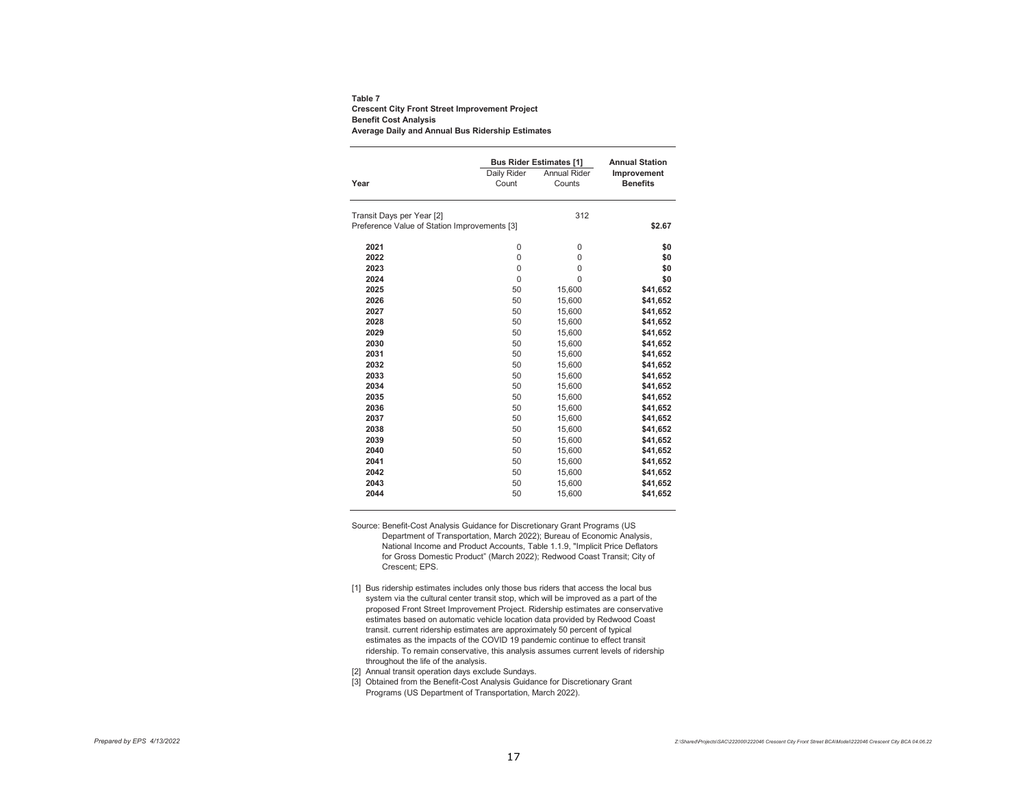**Table 7 Crescent City Front Street Improvement Project Benefit Cost Analysis Average Daily and Annual Bus Ridership Estimates**

|                                              |                      | <b>Bus Rider Estimates [1]</b> | <b>Annual Station</b>          |
|----------------------------------------------|----------------------|--------------------------------|--------------------------------|
| Year                                         | Daily Rider<br>Count | Annual Rider<br>Counts         | Improvement<br><b>Benefits</b> |
| Transit Days per Year [2]                    |                      | 312                            |                                |
| Preference Value of Station Improvements [3] |                      |                                | \$2.67                         |
| 2021                                         | 0                    | 0                              | \$0                            |
| 2022                                         | $\Omega$             | 0                              | \$0                            |
| 2023                                         | $\Omega$             | 0                              | \$0                            |
| 2024                                         | $\Omega$             | $\Omega$                       | \$0                            |
| 2025                                         | 50                   | 15,600                         | \$41,652                       |
| 2026                                         | 50                   | 15,600                         | \$41,652                       |
| 2027                                         | 50                   | 15,600                         | \$41,652                       |
| 2028                                         | 50                   | 15,600                         | \$41,652                       |
| 2029                                         | 50                   | 15.600                         | \$41,652                       |
| 2030                                         | 50                   | 15,600                         | \$41,652                       |
| 2031                                         | 50                   | 15,600                         | \$41,652                       |
| 2032                                         | 50                   | 15,600                         | \$41,652                       |
| 2033                                         | 50                   | 15,600                         | \$41,652                       |
| 2034                                         | 50                   | 15,600                         | \$41,652                       |
| 2035                                         | 50                   | 15,600                         | \$41,652                       |
| 2036                                         | 50                   | 15,600                         | \$41,652                       |
| 2037                                         | 50                   | 15,600                         | \$41,652                       |
| 2038                                         | 50                   | 15,600                         | \$41,652                       |
| 2039                                         | 50                   | 15,600                         | \$41,652                       |
| 2040                                         | 50                   | 15,600                         | \$41,652                       |
| 2041                                         | 50                   | 15,600                         | \$41,652                       |
| 2042                                         | 50                   | 15,600                         | \$41,652                       |
| 2043                                         | 50                   | 15,600                         | \$41,652                       |
| 2044                                         | 50                   | 15,600                         | \$41,652                       |

Source: Benefit-Cost Analysis Guidance for Discretionary Grant Programs (US Department of Transportation, March 2022); Bureau of Economic Analysis, National Income and Product Accounts, Table 1.1.9, "Implicit Price Deflators for Gross Domestic Product" (March 2022); Redwood Coast Transit; City of Crescent; EPS.

[1] Bus ridership estimates includes only those bus riders that access the local bus system via the cultural center transit stop, which will be improved as a part of the proposed Front Street Improvement Project. Ridership estimates are conservative estimates based on automatic vehicle location data provided by Redwood Coast transit. current ridership estimates are approximately 50 percent of typical estimates as the impacts of the COVID 19 pandemic continue to effect transit ridership. To remain conservative, this analysis assumes current levels of ridership throughout the life of the analysis.

[2] Annual transit operation days exclude Sundays.

[3] Obtained from the Benefit-Cost Analysis Guidance for Discretionary Grant Programs (US Department of Transportation, March 2022).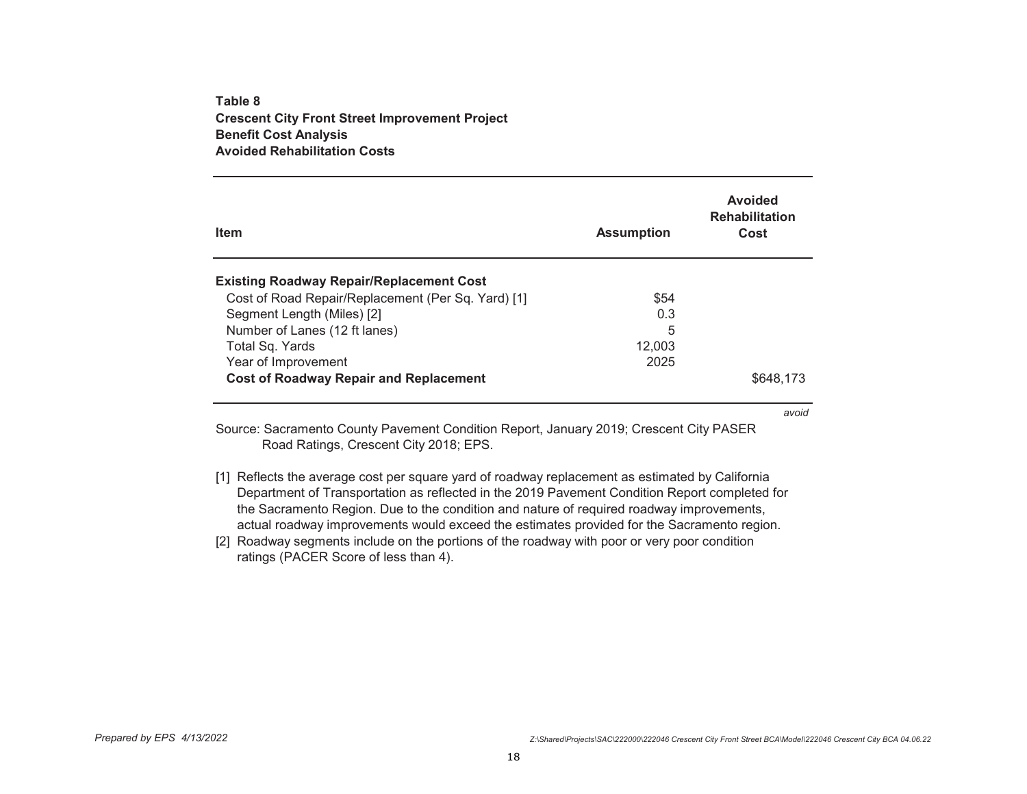### **Table 8Crescent City Front Street Improvement Project Benefit Cost Analysis Avoided Rehabilitation Costs**

| <b>Item</b>                                        | <b>Assumption</b> | Avoided<br><b>Rehabilitation</b><br>Cost |
|----------------------------------------------------|-------------------|------------------------------------------|
| <b>Existing Roadway Repair/Replacement Cost</b>    |                   |                                          |
| Cost of Road Repair/Replacement (Per Sq. Yard) [1] | \$54              |                                          |
| Segment Length (Miles) [2]                         | 0.3               |                                          |
| Number of Lanes (12 ft lanes)                      | 5                 |                                          |
| Total Sq. Yards                                    | 12.003            |                                          |
| Year of Improvement                                | 2025              |                                          |
| <b>Cost of Roadway Repair and Replacement</b>      |                   | \$648.173                                |

*avoid*

Source: Sacramento County Pavement Condition Report, January 2019; Crescent City PASER Road Ratings, Crescent City 2018; EPS.

- [1] Reflects the average cost per square yard of roadway replacement as estimated by California Department of Transportation as reflected in the 2019 Pavement Condition Report completed for the Sacramento Region. Due to the condition and nature of required roadway improvements, actual roadway improvements would exceed the estimates provided for the Sacramento region.
- [2] Roadway segments include on the portions of the roadway with poor or very poor condition ratings (PACER Score of less than 4).

*Prepared by EPS 4/13/2022 Z:\Shared\Projects\SAC\222000\222046 Crescent City Front Street BCA\Model\222046 Crescent City BCA 04.06.22*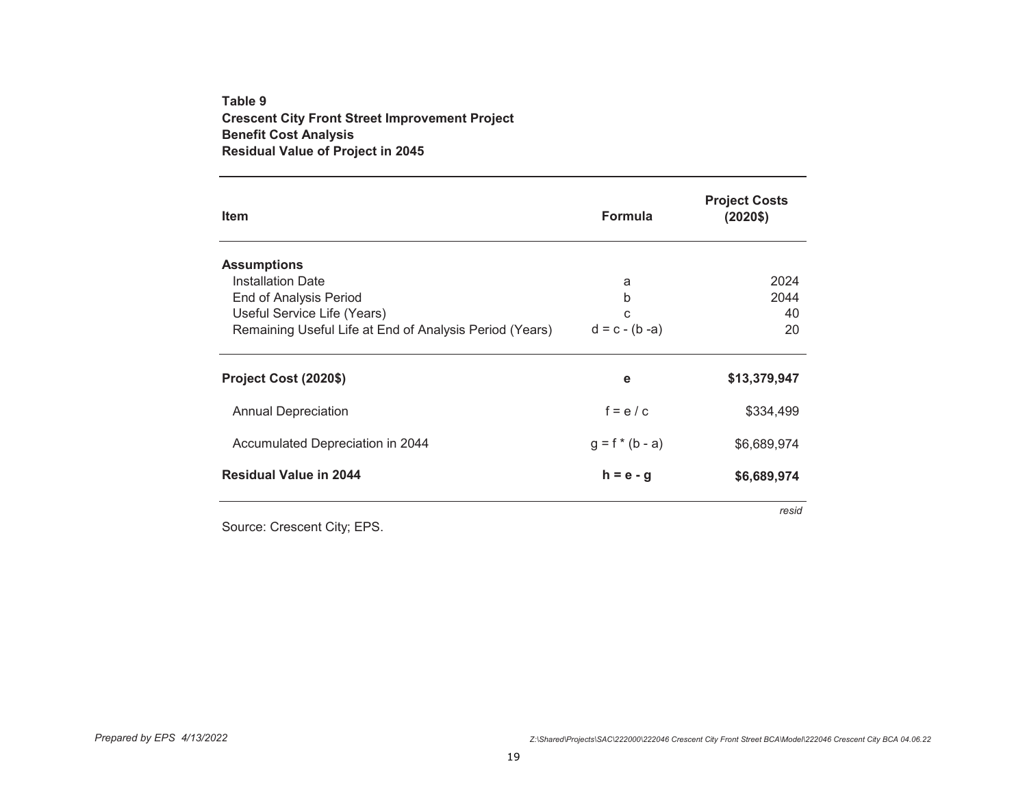# **Table 9 Crescent City Front Street Improvement Project Benefit Cost Analysis Residual Value of Project in 2045**

| <b>Item</b>                                             | <b>Formula</b>    | <b>Project Costs</b><br>$(2020$ \$) |
|---------------------------------------------------------|-------------------|-------------------------------------|
| <b>Assumptions</b>                                      |                   |                                     |
| <b>Installation Date</b>                                | a                 | 2024                                |
| <b>End of Analysis Period</b>                           | b                 | 2044                                |
| Useful Service Life (Years)                             | C                 | 40                                  |
| Remaining Useful Life at End of Analysis Period (Years) | $d = c - (b - a)$ | 20                                  |
| Project Cost (2020\$)                                   | е                 | \$13,379,947                        |
| <b>Annual Depreciation</b>                              | $f = e/c$         | \$334,499                           |
| Accumulated Depreciation in 2044                        | $g = f * (b - a)$ | \$6,689,974                         |
| <b>Residual Value in 2044</b>                           | $h = e - g$       | \$6,689,974                         |
|                                                         |                   | resid                               |

Source: Crescent City; EPS.

*Prepared by EPS 4/13/2022 Z:\Shared\Projects\SAC\222000\222046 Crescent City Front Street BCA\Model\222046 Crescent City BCA 04.06.22*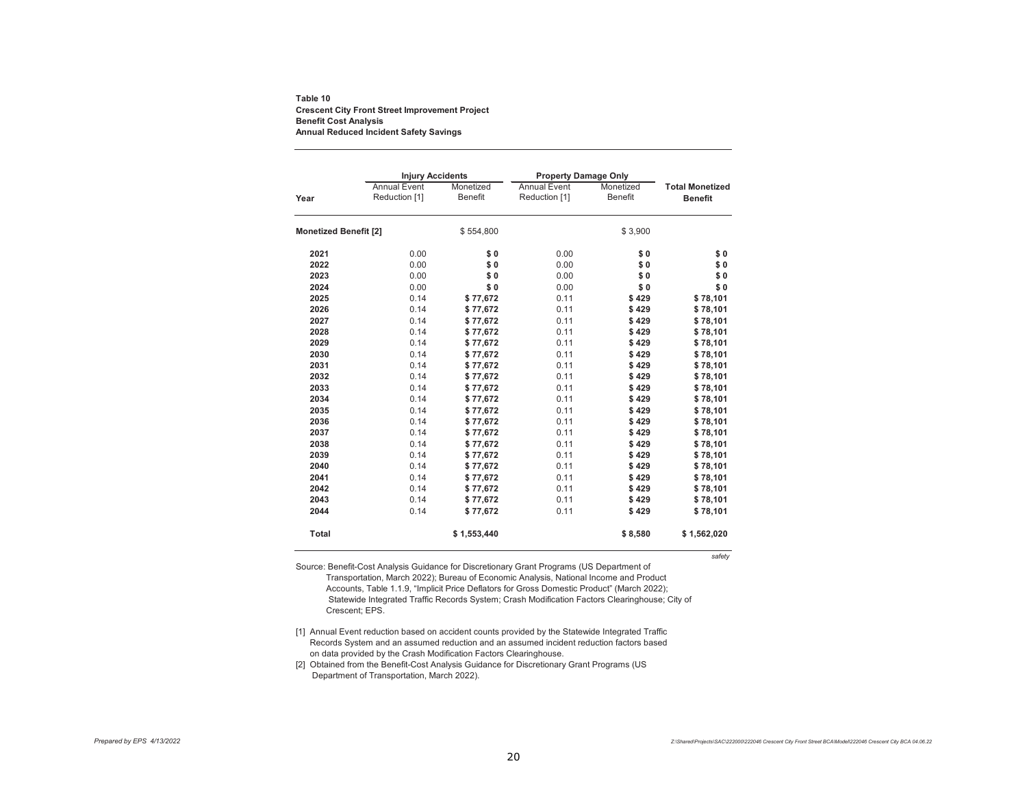#### **Table 10 Crescent City Front Street Improvement Project Benefit Cost Analysis Annual Reduced Incident Safety Savings**

|                              | <b>Injury Accidents</b> |                | <b>Property Damage Only</b> |                |                        |
|------------------------------|-------------------------|----------------|-----------------------------|----------------|------------------------|
|                              | <b>Annual Event</b>     | Monetized      | <b>Annual Event</b>         | Monetized      | <b>Total Monetized</b> |
| Year                         | Reduction [1]           | <b>Benefit</b> | Reduction [1]               | <b>Benefit</b> | <b>Benefit</b>         |
| <b>Monetized Benefit [2]</b> |                         | \$554,800      |                             | \$3,900        |                        |
| 2021                         | 0.00                    | \$0            | 0.00                        | \$0            | \$0                    |
| 2022                         | 0.00                    | \$0            | 0.00                        | \$0            | \$0                    |
| 2023                         | 0.00                    | \$0            | 0.00                        | \$0            | \$0                    |
| 2024                         | 0.00                    | \$0            | 0.00                        | \$0            | \$0                    |
| 2025                         | 0.14                    | \$77,672       | 0.11                        | \$429          | \$78,101               |
| 2026                         | 0.14                    | \$77,672       | 0.11                        | \$429          | \$78,101               |
| 2027                         | 0.14                    | \$77,672       | 0.11                        | \$429          | \$78,101               |
| 2028                         | 0.14                    | \$77,672       | 0.11                        | \$429          | \$78,101               |
| 2029                         | 0.14                    | \$77,672       | 0.11                        | \$429          | \$78,101               |
| 2030                         | 0.14                    | \$77,672       | 0.11                        | \$429          | \$78,101               |
| 2031                         | 0.14                    | \$77,672       | 0.11                        | \$429          | \$78,101               |
| 2032                         | 0.14                    | \$77,672       | 0.11                        | \$429          | \$78,101               |
| 2033                         | 0.14                    | \$77,672       | 0.11                        | \$429          | \$78,101               |
| 2034                         | 0.14                    | \$77,672       | 0.11                        | \$429          | \$78,101               |
| 2035                         | 0.14                    | \$77,672       | 0.11                        | \$429          | \$78,101               |
| 2036                         | 0.14                    | \$77,672       | 0.11                        | \$429          | \$78,101               |
| 2037                         | 0.14                    | \$77,672       | 0.11                        | \$429          | \$78,101               |
| 2038                         | 0.14                    | \$77,672       | 0.11                        | \$429          | \$78,101               |
| 2039                         | 0.14                    | \$77,672       | 0.11                        | \$429          | \$78,101               |
| 2040                         | 0.14                    | \$77,672       | 0.11                        | \$429          | \$78,101               |
| 2041                         | 0.14                    | \$77,672       | 0.11                        | \$429          | \$78,101               |
| 2042                         | 0.14                    | \$77,672       | 0.11                        | \$429          | \$78,101               |
| 2043                         | 0.14                    | \$77,672       | 0.11                        | \$429          | \$78,101               |
| 2044                         | 0.14                    | \$77,672       | 0.11                        | \$429          | \$78,101               |
| <b>Total</b>                 |                         | \$1,553,440    |                             | \$8,580        | \$1,562,020            |
|                              |                         |                |                             |                | safety                 |

Source: Benefit-Cost Analysis Guidance for Discretionary Grant Programs (US Department of Transportation, March 2022); Bureau of Economic Analysis, National Income and Product Accounts, Table 1.1.9, "Implicit Price Deflators for Gross Domestic Product" (March 2022); Statewide Integrated Traffic Records System; Crash Modification Factors Clearinghouse; City of Crescent; EPS.

[1] Annual Event reduction based on accident counts provided by the Statewide Integrated Traffic Records System and an assumed reduction and an assumed incident reduction factors based on data provided by the Crash Modification Factors Clearinghouse.

[2] Obtained from the Benefit-Cost Analysis Guidance for Discretionary Grant Programs (US Department of Transportation, March 2022).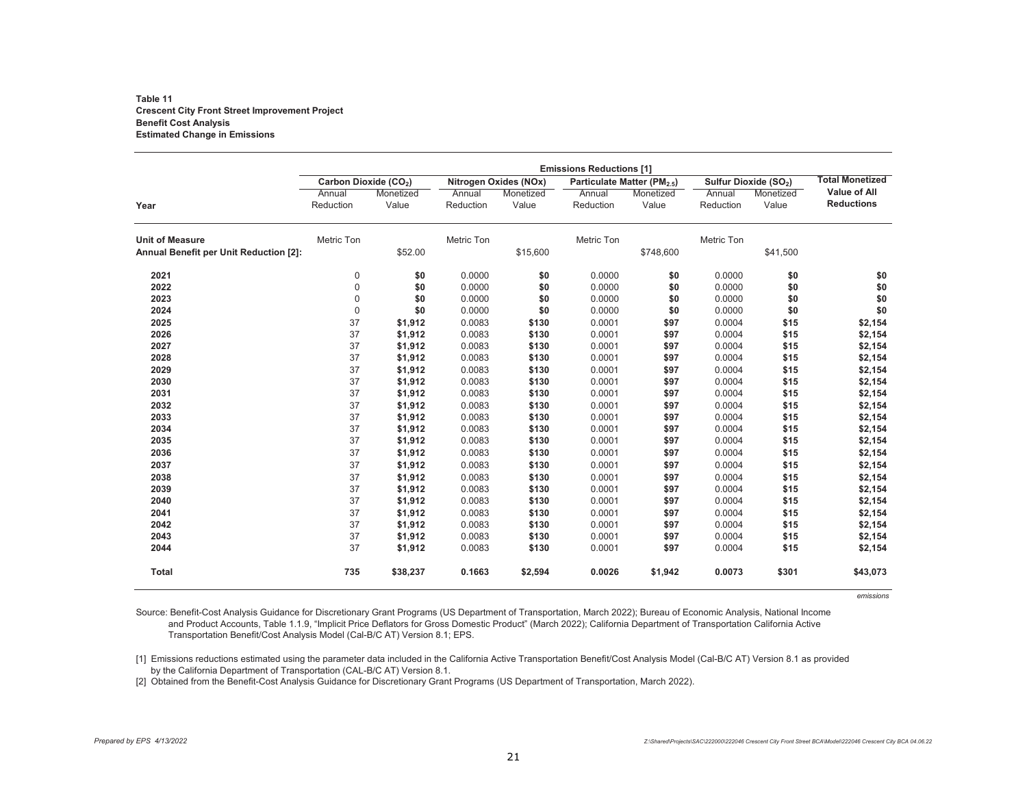#### **Table 11 Crescent City Front Street Improvement Project Benefit Cost Analysis Estimated Change in Emissions**

|                                        | <b>Emissions Reductions [1]</b>   |                    |                       |                    |                                         |                    |                                   |                    |                                          |
|----------------------------------------|-----------------------------------|--------------------|-----------------------|--------------------|-----------------------------------------|--------------------|-----------------------------------|--------------------|------------------------------------------|
|                                        | Carbon Dioxide (CO <sub>2</sub> ) |                    | Nitrogen Oxides (NOx) |                    | Particulate Matter (PM <sub>2.5</sub> ) |                    | Sulfur Dioxide (SO <sub>2</sub> ) |                    | <b>Total Monetized</b>                   |
| Year                                   | Annual<br>Reduction               | Monetized<br>Value | Annual<br>Reduction   | Monetized<br>Value | Annual<br>Reduction                     | Monetized<br>Value | Annual<br>Reduction               | Monetized<br>Value | <b>Value of All</b><br><b>Reductions</b> |
| <b>Unit of Measure</b>                 | Metric Ton                        |                    | Metric Ton            |                    | Metric Ton                              |                    | Metric Ton                        |                    |                                          |
| Annual Benefit per Unit Reduction [2]: |                                   | \$52.00            |                       | \$15,600           |                                         | \$748,600          |                                   | \$41,500           |                                          |
| 2021                                   | 0                                 | \$0                | 0.0000                | \$0                | 0.0000                                  | \$0                | 0.0000                            | \$0                | \$0                                      |
| 2022                                   | $\overline{0}$                    | \$0                | 0.0000                | \$0                | 0.0000                                  | \$0                | 0.0000                            | \$0                | $\$0$                                    |
| 2023                                   | 0                                 | \$0                | 0.0000                | \$0                | 0.0000                                  | \$0                | 0.0000                            | \$0                | $\$0$                                    |
| 2024                                   | $\mathbf 0$                       | \$0                | 0.0000                | \$0                | 0.0000                                  | \$0                | 0.0000                            | \$0                | \$0                                      |
| 2025                                   | 37                                | \$1,912            | 0.0083                | \$130              | 0.0001                                  | \$97               | 0.0004                            | \$15               | \$2,154                                  |
| 2026                                   | 37                                | \$1,912            | 0.0083                | \$130              | 0.0001                                  | \$97               | 0.0004                            | \$15               | \$2,154                                  |
| 2027                                   | 37                                | \$1,912            | 0.0083                | \$130              | 0.0001                                  | \$97               | 0.0004                            | \$15               | \$2,154                                  |
| 2028                                   | 37                                | \$1,912            | 0.0083                | \$130              | 0.0001                                  | \$97               | 0.0004                            | \$15               | \$2,154                                  |
| 2029                                   | 37                                | \$1,912            | 0.0083                | \$130              | 0.0001                                  | \$97               | 0.0004                            | \$15               | \$2,154                                  |
| 2030                                   | 37                                | \$1,912            | 0.0083                | \$130              | 0.0001                                  | \$97               | 0.0004                            | \$15               | \$2,154                                  |
| 2031                                   | 37                                | \$1,912            | 0.0083                | \$130              | 0.0001                                  | \$97               | 0.0004                            | \$15               | \$2,154                                  |
| 2032                                   | 37                                | \$1,912            | 0.0083                | \$130              | 0.0001                                  | \$97               | 0.0004                            | \$15               | \$2,154                                  |
| 2033                                   | 37                                | \$1,912            | 0.0083                | \$130              | 0.0001                                  | \$97               | 0.0004                            | \$15               | \$2,154                                  |
| 2034                                   | 37                                | \$1,912            | 0.0083                | \$130              | 0.0001                                  | \$97               | 0.0004                            | \$15               | \$2,154                                  |
| 2035                                   | 37                                | \$1,912            | 0.0083                | \$130              | 0.0001                                  | \$97               | 0.0004                            | \$15               | \$2,154                                  |
| 2036                                   | 37                                | \$1,912            | 0.0083                | \$130              | 0.0001                                  | \$97               | 0.0004                            | \$15               | \$2,154                                  |
| 2037                                   | 37                                | \$1,912            | 0.0083                | \$130              | 0.0001                                  | \$97               | 0.0004                            | \$15               | \$2,154                                  |
| 2038                                   | 37                                | \$1,912            | 0.0083                | \$130              | 0.0001                                  | \$97               | 0.0004                            | \$15               | \$2,154                                  |
| 2039                                   | 37                                | \$1,912            | 0.0083                | \$130              | 0.0001                                  | \$97               | 0.0004                            | \$15               | \$2,154                                  |
| 2040                                   | 37                                | \$1,912            | 0.0083                | \$130              | 0.0001                                  | \$97               | 0.0004                            | \$15               | \$2,154                                  |
| 2041                                   | 37                                | \$1,912            | 0.0083                | \$130              | 0.0001                                  | \$97               | 0.0004                            | \$15               | \$2,154                                  |
| 2042                                   | 37                                | \$1,912            | 0.0083                | \$130              | 0.0001                                  | \$97               | 0.0004                            | \$15               | \$2,154                                  |
| 2043                                   | 37                                | \$1,912            | 0.0083                | \$130              | 0.0001                                  | \$97               | 0.0004                            | \$15               | \$2,154                                  |
| 2044                                   | 37                                | \$1,912            | 0.0083                | \$130              | 0.0001                                  | \$97               | 0.0004                            | \$15               | \$2,154                                  |
| <b>Total</b>                           | 735                               | \$38,237           | 0.1663                | \$2,594            | 0.0026                                  | \$1,942            | 0.0073                            | \$301              | \$43,073                                 |

*emissions*

Source: Benefit-Cost Analysis Guidance for Discretionary Grant Programs (US Department of Transportation, March 2022); Bureau of Economic Analysis, National Income and Product Accounts, Table 1.1.9, "Implicit Price Deflators for Gross Domestic Product" (March 2022); California Department of Transportation California Active Transportation Benefit/Cost Analysis Model (Cal-B/C AT) Version 8.1; EPS.

[1] Emissions reductions estimated using the parameter data included in the California Active Transportation Benefit/Cost Analysis Model (Cal-B/C AT) Version 8.1 as provided by the California Department of Transportation (CAL-B/C AT) Version 8.1.

[2] Obtained from the Benefit-Cost Analysis Guidance for Discretionary Grant Programs (US Department of Transportation, March 2022).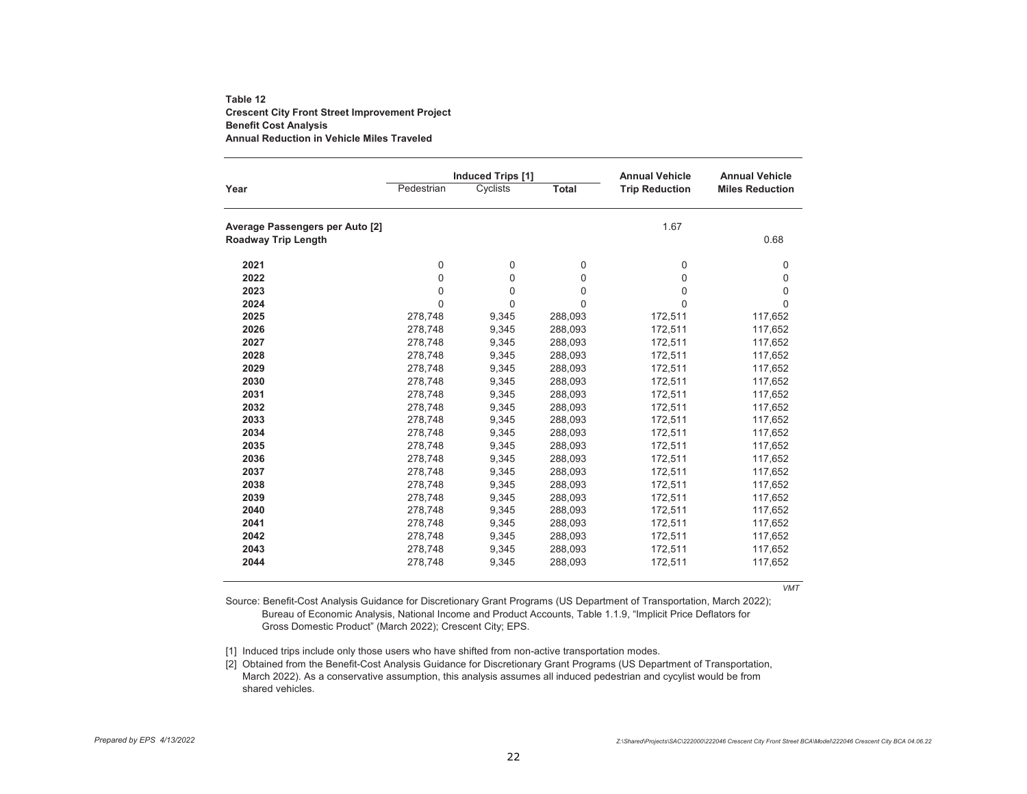### **Table 12Crescent City Front Street Improvement Project Benefit Cost Analysis Annual Reduction in Vehicle Miles Traveled**

|                                 | <b>Induced Trips [1]</b> |          |              | <b>Annual Vehicle</b> | <b>Annual Vehicle</b>  |  |
|---------------------------------|--------------------------|----------|--------------|-----------------------|------------------------|--|
| Year                            | Pedestrian               | Cyclists | <b>Total</b> | <b>Trip Reduction</b> | <b>Miles Reduction</b> |  |
| Average Passengers per Auto [2] |                          |          |              | 1.67                  |                        |  |
| <b>Roadway Trip Length</b>      |                          |          |              |                       | 0.68                   |  |
| 2021                            | $\mathbf 0$              | 0        | 0            | 0                     | 0                      |  |
| 2022                            | 0                        | $\Omega$ | 0            | $\Omega$              | 0                      |  |
| 2023                            | 0                        | $\Omega$ | 0            | $\Omega$              | 0                      |  |
| 2024                            | $\Omega$                 | 0        | 0            | $\Omega$              | 0                      |  |
| 2025                            | 278,748                  | 9,345    | 288,093      | 172,511               | 117,652                |  |
| 2026                            | 278,748                  | 9,345    | 288,093      | 172,511               | 117,652                |  |
| 2027                            | 278,748                  | 9,345    | 288,093      | 172,511               | 117,652                |  |
| 2028                            | 278,748                  | 9,345    | 288,093      | 172,511               | 117,652                |  |
| 2029                            | 278,748                  | 9,345    | 288,093      | 172,511               | 117,652                |  |
| 2030                            | 278,748                  | 9,345    | 288,093      | 172,511               | 117,652                |  |
| 2031                            | 278,748                  | 9,345    | 288,093      | 172,511               | 117,652                |  |
| 2032                            | 278.748                  | 9,345    | 288,093      | 172,511               | 117,652                |  |
| 2033                            | 278,748                  | 9,345    | 288,093      | 172,511               | 117,652                |  |
| 2034                            | 278,748                  | 9,345    | 288,093      | 172,511               | 117,652                |  |
| 2035                            | 278,748                  | 9,345    | 288,093      | 172,511               | 117,652                |  |
| 2036                            | 278,748                  | 9,345    | 288,093      | 172,511               | 117,652                |  |
| 2037                            | 278,748                  | 9,345    | 288,093      | 172,511               | 117,652                |  |
| 2038                            | 278,748                  | 9,345    | 288,093      | 172,511               | 117,652                |  |
| 2039                            | 278,748                  | 9,345    | 288,093      | 172,511               | 117,652                |  |
| 2040                            | 278,748                  | 9,345    | 288,093      | 172,511               | 117,652                |  |
| 2041                            | 278.748                  | 9,345    | 288,093      | 172,511               | 117,652                |  |
| 2042                            | 278,748                  | 9,345    | 288,093      | 172,511               | 117,652                |  |
| 2043                            | 278,748                  | 9,345    | 288,093      | 172,511               | 117,652                |  |
| 2044                            | 278,748                  | 9,345    | 288,093      | 172,511               | 117,652                |  |

*VMT*

Source: Benefit-Cost Analysis Guidance for Discretionary Grant Programs (US Department of Transportation, March 2022); Bureau of Economic Analysis, National Income and Product Accounts, Table 1.1.9, "Implicit Price Deflators for Gross Domestic Product" (March 2022); Crescent City; EPS.

[1] Induced trips include only those users who have shifted from non-active transportation modes.

[2] Obtained from the Benefit-Cost Analysis Guidance for Discretionary Grant Programs (US Department of Transportation, March 2022). As a conservative assumption, this analysis assumes all induced pedestrian and cycylist would be from shared vehicles.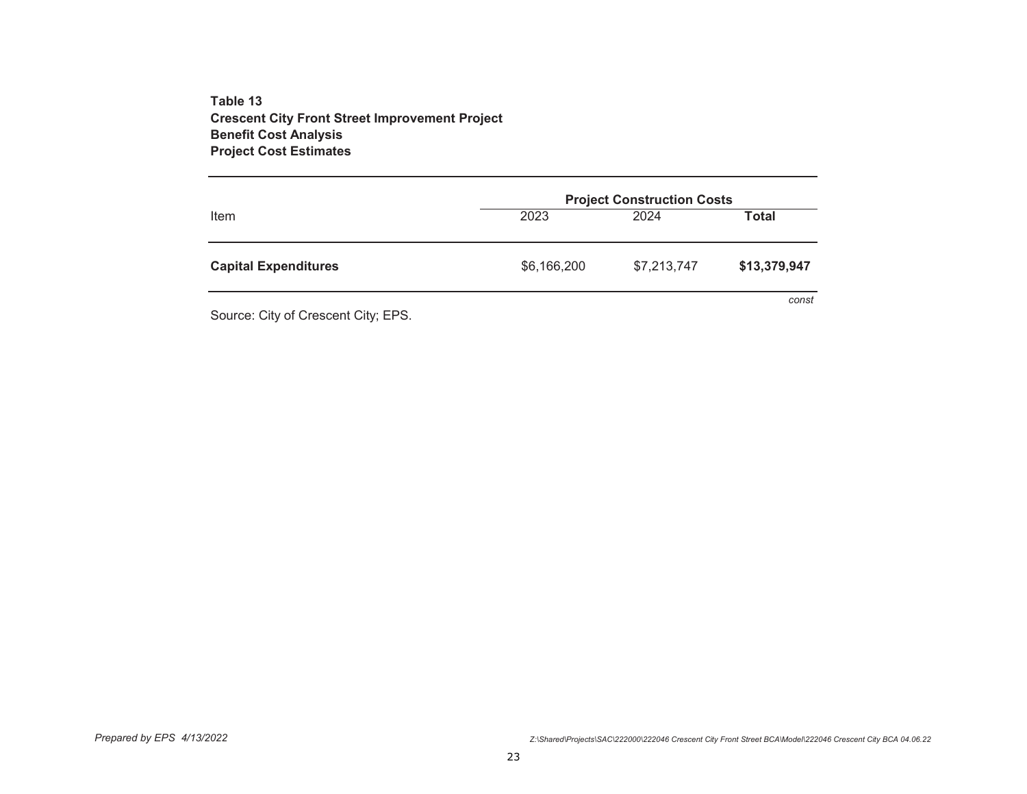**Table 13 Crescent City Front Street Improvement Project Benefit Cost Analysis Project Cost Estimates**

|                             | <b>Project Construction Costs</b> |             |              |  |  |
|-----------------------------|-----------------------------------|-------------|--------------|--|--|
| Item                        | 2023                              | 2024        | Total        |  |  |
| <b>Capital Expenditures</b> | \$6,166,200                       | \$7,213,747 | \$13,379,947 |  |  |
|                             |                                   |             | const        |  |  |

Source: City of Crescent City; EPS.

*Prepared by EPS 4/13/2022 Z:\Shared\Projects\SAC\222000\222046 Crescent City Front Street BCA\Model\222046 Crescent City BCA 04.06.22*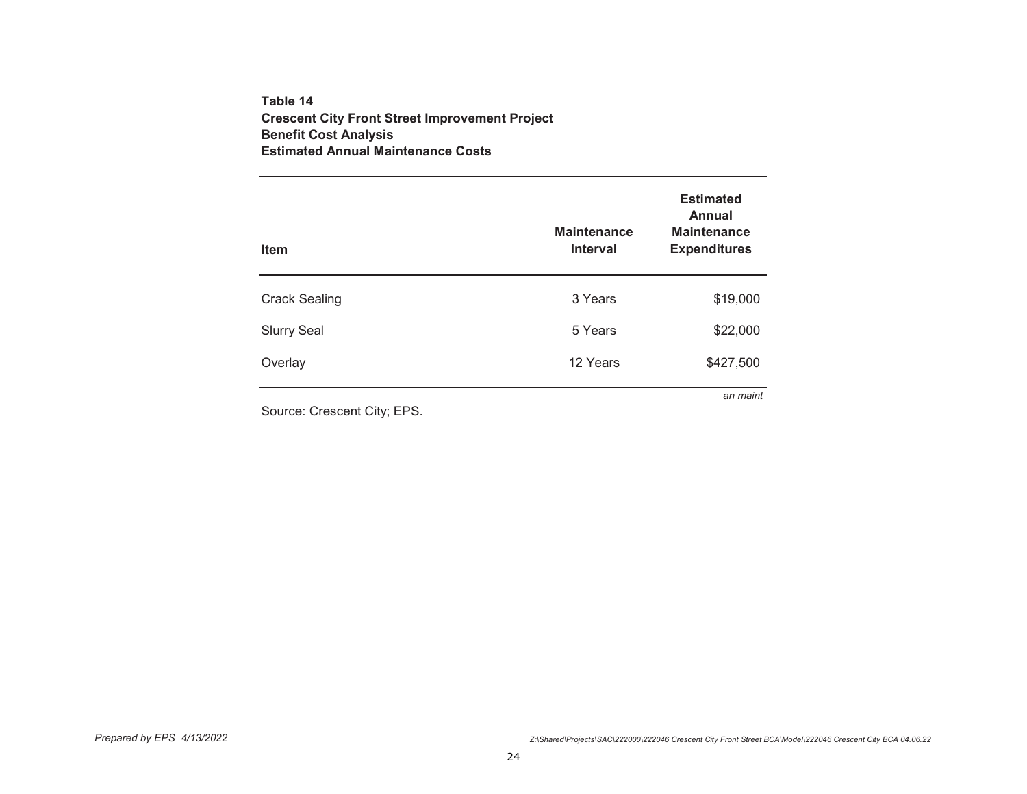## **Table 14 Crescent City Front Street Improvement Project Benefit Cost Analysis Estimated Annual Maintenance Costs**

| <b>Item</b>                 | <b>Maintenance</b><br><b>Interval</b> | <b>Estimated</b><br><b>Annual</b><br><b>Maintenance</b><br><b>Expenditures</b> |
|-----------------------------|---------------------------------------|--------------------------------------------------------------------------------|
| <b>Crack Sealing</b>        | 3 Years                               | \$19,000                                                                       |
| <b>Slurry Seal</b>          | 5 Years                               | \$22,000                                                                       |
| Overlay                     | 12 Years                              | \$427,500                                                                      |
| Source: Crescent City; EPS. |                                       | an maint                                                                       |